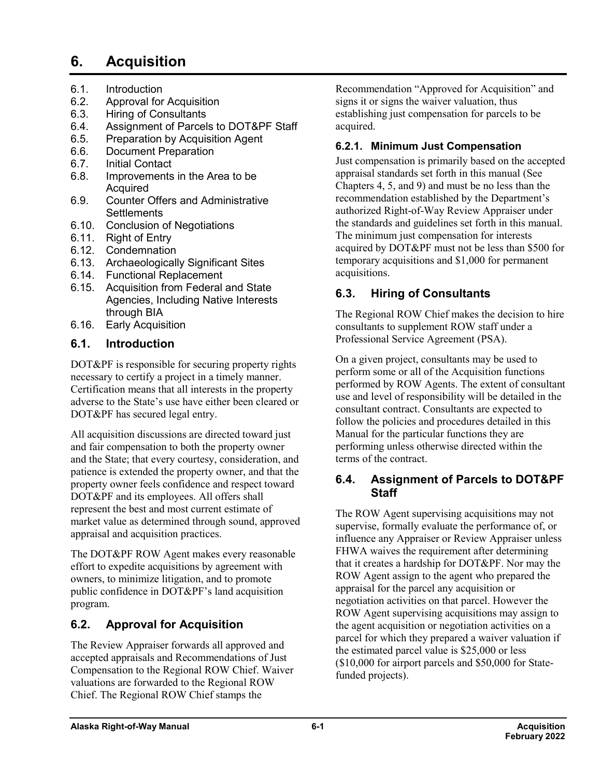# **6. Acquisition**

- 6.1. Introduction
- 6.2. Approval for Acquisition<br>6.3. Hiring of Consultants
- 6.3. Hiring of Consultants
- 6.4. Assignment of Parcels to DOT&PF Staff
- 6.5. Preparation by Acquisition Agent
- 6.6. Document Preparation
- 6.7. Initial Contact
- Improvements in the Area to be Acquired
- 6.9. Counter Offers and Administrative **Settlements**
- 6.10. Conclusion of Negotiations
- 6.11. Right of Entry
- 6.12. Condemnation
- 6.13. Archaeologically Significant Sites
- 6.14. Functional Replacement
- 6.15. Acquisition from Federal and State Agencies, Including Native Interests through BIA
- 6.16. Early Acquisition

## **6.1. Introduction**

DOT&PF is responsible for securing property rights necessary to certify a project in a timely manner. Certification means that all interests in the property adverse to the State's use have either been cleared or DOT&PF has secured legal entry.

All acquisition discussions are directed toward just and fair compensation to both the property owner and the State; that every courtesy, consideration, and patience is extended the property owner, and that the property owner feels confidence and respect toward DOT&PF and its employees. All offers shall represent the best and most current estimate of market value as determined through sound, approved appraisal and acquisition practices.

The DOT&PF ROW Agent makes every reasonable effort to expedite acquisitions by agreement with owners, to minimize litigation, and to promote public confidence in DOT&PF's land acquisition program.

## **6.2. Approval for Acquisition**

The Review Appraiser forwards all approved and accepted appraisals and Recommendations of Just Compensation to the Regional ROW Chief. Waiver valuations are forwarded to the Regional ROW Chief. The Regional ROW Chief stamps the

Recommendation "Approved for Acquisition" and signs it or signs the waiver valuation, thus establishing just compensation for parcels to be acquired.

## **6.2.1. Minimum Just Compensation**

Just compensation is primarily based on the accepted appraisal standards set forth in this manual (See Chapters 4, 5, and 9) and must be no less than the recommendation established by the Department's authorized Right-of-Way Review Appraiser under the standards and guidelines set forth in this manual. The minimum just compensation for interests acquired by DOT&PF must not be less than \$500 for temporary acquisitions and \$1,000 for permanent acquisitions.

## **6.3. Hiring of Consultants**

The Regional ROW Chief makes the decision to hire consultants to supplement ROW staff under a Professional Service Agreement (PSA).

On a given project, consultants may be used to perform some or all of the Acquisition functions performed by ROW Agents. The extent of consultant use and level of responsibility will be detailed in the consultant contract. Consultants are expected to follow the policies and procedures detailed in this Manual for the particular functions they are performing unless otherwise directed within the terms of the contract.

### **6.4. Assignment of Parcels to DOT&PF Staff**

The ROW Agent supervising acquisitions may not supervise, formally evaluate the performance of, or influence any Appraiser or Review Appraiser unless FHWA waives the requirement after determining that it creates a hardship for DOT&PF. Nor may the ROW Agent assign to the agent who prepared the appraisal for the parcel any acquisition or negotiation activities on that parcel. However the ROW Agent supervising acquisitions may assign to the agent acquisition or negotiation activities on a parcel for which they prepared a waiver valuation if the estimated parcel value is \$25,000 or less (\$10,000 for airport parcels and \$50,000 for Statefunded projects).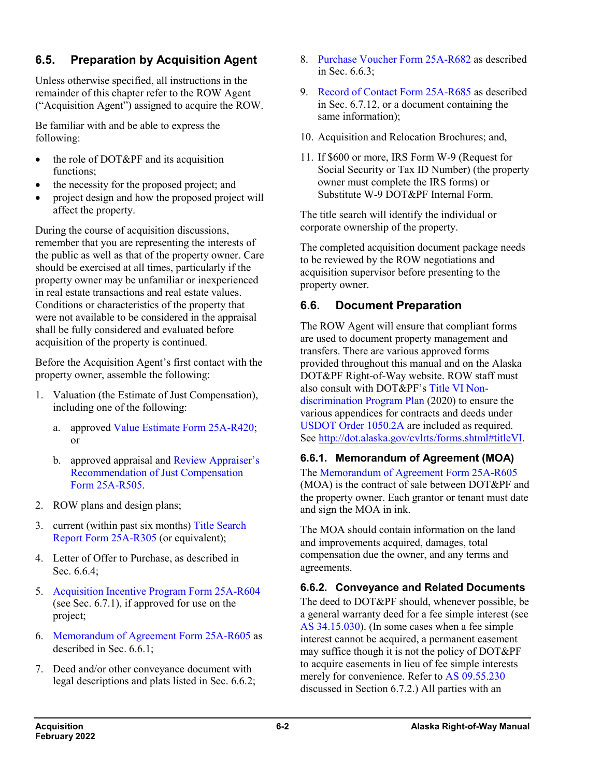## **6.5. Preparation by Acquisition Agent**

Unless otherwise specified, all instructions in the remainder of this chapter refer to the ROW Agent ("Acquisition Agent") assigned to acquire the ROW.

Be familiar with and be able to express the following:

- the role of DOT&PF and its acquisition functions;
- the necessity for the proposed project; and
- project design and how the proposed project will affect the property.

During the course of acquisition discussions, remember that you are representing the interests of the public as well as that of the property owner. Care should be exercised at all times, particularly if the property owner may be unfamiliar or inexperienced in real estate transactions and real estate values. Conditions or characteristics of the property that were not available to be considered in the appraisal shall be fully considered and evaluated before acquisition of the property is continued.

Before the Acquisition Agent's first contact with the property owner, assemble the following:

- 1. Valuation (the Estimate of Just Compensation), including one of the following:
	- a. approve[d Value Estimate Form](http://www.dot.state.ak.us/stwddes/dcsrow/assets/pdf/forms/25ar420.pdf) 25A-R420; or
	- b. approved appraisal and [Review Appraiser's](http://www.dot.state.ak.us/stwddes/dcsrow/assets/pdf/forms/25ar505.pdf)  [Recommendation of Just Compensation](http://www.dot.state.ak.us/stwddes/dcsrow/assets/pdf/forms/25ar505.pdf)  Form [25A-R505.](http://www.dot.state.ak.us/stwddes/dcsrow/assets/pdf/forms/25ar505.pdf)
- 2. ROW plans and design plans;
- 3. current (within past six months) Title [Search](http://www.dot.state.ak.us/stwddes/dcsrow/assets/pdf/forms/25ar305.pdf)  [Report Form](http://www.dot.state.ak.us/stwddes/dcsrow/assets/pdf/forms/25ar305.pdf) 25A-R305 (or equivalent);
- 4. Letter of Offer to Purchase, as described in Sec. 6.6.4;
- 5. [Acquisition Incentive Program](http://www.dot.state.ak.us/stwddes/dcsrow/assets/pdf/forms/25ar604.pdf) Form 25A-R604 (see Sec. 6.7.1), if approved for use on the project;
- 6. [Memorandum](http://www.dot.state.ak.us/stwddes/dcsrow/assets/pdf/forms/25ar605.pdf) of Agreement Form [25A-](http://www.dot.state.ak.us/stwddes/dcsrow/assets/pdf/forms/25ar605.pdf)R605 as described in Sec. 6.6.1;
- 7. Deed and/or other conveyance document with legal descriptions and plats listed in Sec. 6.6.2;
- 8. [Purchase Voucher Form](http://www.dot.state.ak.us/stwddes/dcsrow/assets/pdf/forms/25ar682.pdf) 25A-R682 as described in Sec. 6.6.3;
- 9. [Record of Contact Form](http://www.dot.state.ak.us/stwddes/dcsrow/assets/pdf/forms/25ar685.pdf) 25A-R685 as described in Sec. 6.7.12, or a document containing the same information);
- 10. Acquisition and Relocation Brochures; and,
- 11. If \$600 or more, IRS Form W-9 (Request for Social Security or Tax ID Number) (the property owner must complete the IRS forms) or Substitute W-9 DOT&PF Internal Form.

The title search will identify the individual or corporate ownership of the property.

The completed acquisition document package needs to be reviewed by the ROW negotiations and acquisition supervisor before presenting to the property owner.

## **6.6. Document Preparation**

The ROW Agent will ensure that compliant forms are used to document property management and transfers. There are various approved forms provided throughout this manual and on the Alaska DOT&PF Right-of-Way website. ROW staff must also consult with DOT&PF's Title [VI Non](http://www.dot.state.ak.us/cvlrts/pdfs/TitleVI_Nondiscrimination_Program_Plan.pdf)[discrimination Program Plan](http://www.dot.state.ak.us/cvlrts/pdfs/TitleVI_Nondiscrimination_Program_Plan.pdf) (2020) to ensure the various appendices for contracts and deeds under [USDOT Order](http://dot.alaska.gov/cvlrts/pdfs/dot-order-1050-2A-standard-dot-title-vi-assurances.pdf) 1050.2A are included as required. See [http://dot.alaska.gov/cvlrts/forms.shtml#titleVI.](http://dot.alaska.gov/cvlrts/forms.shtml#titleVI)

### **6.6.1. Memorandum of Agreement (MOA)**

The [Memorandum of Agreement Form](http://www.dot.state.ak.us/stwddes/dcsrow/assets/pdf/forms/25ar605.pdf) 25A-R605 (MOA) is the contract of sale between DOT&PF and the property owner. Each grantor or tenant must date and sign the MOA in ink.

The MOA should contain information on the land and improvements acquired, damages, total compensation due the owner, and any terms and agreements.

## **6.6.2. Conveyance and Related Documents**

The deed to DOT&PF should, whenever possible, be a general warranty deed for a fee simple interest (see AS [34.15.030\)](http://www.akleg.gov/basis/statutes.asp#34.15.030). (In some cases when a fee simple interest cannot be acquired, a permanent easement may suffice though it is not the policy of DOT&PF to acquire easements in lieu of fee simple interests merely for convenience. Refer to AS [09.55.230](http://www.akleg.gov/basis/statutes.asp#09.55.250) discussed in Section 6.7.2.) All parties with an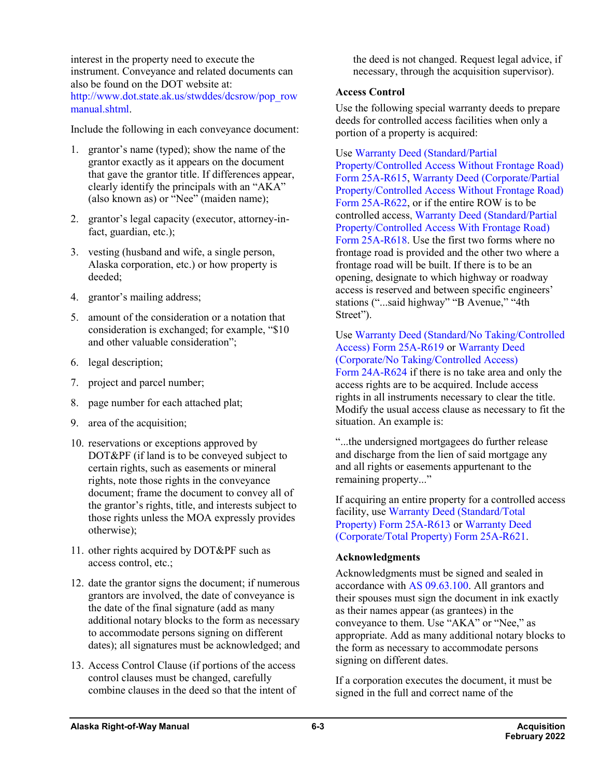interest in the property need to execute the instrument. Conveyance and related documents can also be found on the DOT website at: [http://www.dot.state.ak.us/stwddes/dcsrow/pop\\_row](http://www.dot.state.ak.us/stwddes/dcsrow/pop_rowmanual.shtml) [manual.shtml.](http://www.dot.state.ak.us/stwddes/dcsrow/pop_rowmanual.shtml)

Include the following in each conveyance document:

- 1. grantor's name (typed); show the name of the grantor exactly as it appears on the document that gave the grantor title. If differences appear, clearly identify the principals with an "AKA" (also known as) or "Nee" (maiden name);
- 2. grantor's legal capacity (executor, attorney-infact, guardian, etc.);
- 3. vesting (husband and wife, a single person, Alaska corporation, etc.) or how property is deeded;
- 4. grantor's mailing address;
- 5. amount of the consideration or a notation that consideration is exchanged; for example, "\$10 and other valuable consideration";
- 6. legal description;
- 7. project and parcel number;
- 8. page number for each attached plat;
- 9. area of the acquisition;
- 10. reservations or exceptions approved by DOT&PF (if land is to be conveyed subject to certain rights, such as easements or mineral rights, note those rights in the conveyance document; frame the document to convey all of the grantor's rights, title, and interests subject to those rights unless the MOA expressly provides otherwise);
- 11. other rights acquired by DOT&PF such as access control, etc.;
- 12. date the grantor signs the document; if numerous grantors are involved, the date of conveyance is the date of the final signature (add as many additional notary blocks to the form as necessary to accommodate persons signing on different dates); all signatures must be acknowledged; and
- 13. Access Control Clause (if portions of the access control clauses must be changed, carefully combine clauses in the deed so that the intent of

the deed is not changed. Request legal advice, if necessary, through the acquisition supervisor).

### **Access Control**

Use the following special warranty deeds to prepare deeds for controlled access facilities when only a portion of a property is acquired:

Use [Warranty Deed \(Standard/Partial](http://www.dot.state.ak.us/stwddes/dcsrow/assets/pdf/forms/25ar615.pdf)  [Property/Controlled Access Without Frontage Road\)](http://www.dot.state.ak.us/stwddes/dcsrow/assets/pdf/forms/25ar615.pdf)  Form [25A-R615,](http://www.dot.state.ak.us/stwddes/dcsrow/assets/pdf/forms/25ar615.pdf) [Warranty Deed \(Corporate/Partial](http://www.dot.state.ak.us/stwddes/dcsrow/assets/pdf/forms/25ar622.pdf)  [Property/Controlled Access Without Frontage Road\)](http://www.dot.state.ak.us/stwddes/dcsrow/assets/pdf/forms/25ar622.pdf)  Form [25A-R622,](http://www.dot.state.ak.us/stwddes/dcsrow/assets/pdf/forms/25ar622.pdf) or if the entire ROW is to be controlled access, [Warranty Deed \(Standard/Partial](http://www.dot.state.ak.us/stwddes/dcsrow/assets/pdf/forms/25ar618.pdf)  [Property/Controlled Access With Frontage Road\)](http://www.dot.state.ak.us/stwddes/dcsrow/assets/pdf/forms/25ar618.pdf)  Form [25A-R618.](http://www.dot.state.ak.us/stwddes/dcsrow/assets/pdf/forms/25ar618.pdf) Use the first two forms where no frontage road is provided and the other two where a frontage road will be built. If there is to be an opening, designate to which highway or roadway access is reserved and between specific engineers' stations ("...said highway" "B Avenue," "4th Street").

Use [Warranty Deed \(Standard/No Taking/Controlled](http://www.dot.state.ak.us/stwddes/dcsrow/assets/pdf/forms/25ar619.pdf)  Access) Form [25A-R619](http://www.dot.state.ak.us/stwddes/dcsrow/assets/pdf/forms/25ar619.pdf) or [Warranty Deed](http://www.dot.state.ak.us/stwddes/dcsrow/assets/pdf/forms/25ar624.pdf)  [\(Corporate/No Taking/Controlled Access\)](http://www.dot.state.ak.us/stwddes/dcsrow/assets/pdf/forms/25ar624.pdf)

Form [24A-R624](http://www.dot.state.ak.us/stwddes/dcsrow/assets/pdf/forms/25ar624.pdf) if there is no take area and only the access rights are to be acquired. Include access rights in all instruments necessary to clear the title. Modify the usual access clause as necessary to fit the situation. An example is:

"...the undersigned mortgagees do further release and discharge from the lien of said mortgage any and all rights or easements appurtenant to the remaining property..."

If acquiring an entire property for a controlled access facility, use [Warranty Deed \(Standard/Total](http://www.dot.state.ak.us/stwddes/dcsrow/assets/pdf/forms/25ar613.pdf)  Property) Form [25A-R613](http://www.dot.state.ak.us/stwddes/dcsrow/assets/pdf/forms/25ar613.pdf) or [Warranty Deed](http://www.dot.state.ak.us/stwddes/dcsrow/assets/pdf/forms/25ar621.pdf)  [\(Corporate/Total Property\)](http://www.dot.state.ak.us/stwddes/dcsrow/assets/pdf/forms/25ar621.pdf) Form 25A-R621.

### **Acknowledgments**

Acknowledgments must be signed and sealed in accordance with AS [09.63.100.](http://www.akleg.gov/basis/statutes.asp#09.63.100) All grantors and their spouses must sign the document in ink exactly as their names appear (as grantees) in the conveyance to them. Use "AKA" or "Nee," as appropriate. Add as many additional notary blocks to the form as necessary to accommodate persons signing on different dates.

If a corporation executes the document, it must be signed in the full and correct name of the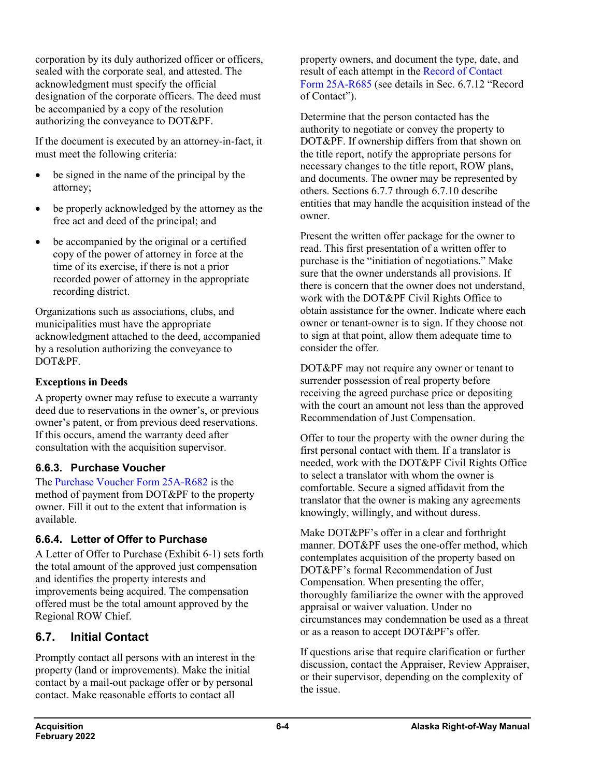corporation by its duly authorized officer or officers, sealed with the corporate seal, and attested. The acknowledgment must specify the official designation of the corporate officers. The deed must be accompanied by a copy of the resolution authorizing the conveyance to DOT&PF.

If the document is executed by an attorney-in-fact, it must meet the following criteria:

- be signed in the name of the principal by the attorney;
- be properly acknowledged by the attorney as the free act and deed of the principal; and
- be accompanied by the original or a certified copy of the power of attorney in force at the time of its exercise, if there is not a prior recorded power of attorney in the appropriate recording district.

Organizations such as associations, clubs, and municipalities must have the appropriate acknowledgment attached to the deed, accompanied by a resolution authorizing the conveyance to DOT&PF.

### **Exceptions in Deeds**

A property owner may refuse to execute a warranty deed due to reservations in the owner's, or previous owner's patent, or from previous deed reservations. If this occurs, amend the warranty deed after consultation with the acquisition supervisor.

### **6.6.3. Purchase Voucher**

The [Purchase Voucher Form](http://www.dot.state.ak.us/stwddes/dcsrow/assets/pdf/forms/25ar682.pdf) 25A-R682 is the method of payment from DOT&PF to the property owner. Fill it out to the extent that information is available.

### **6.6.4. Letter of Offer to Purchase**

A Letter of Offer to Purchase (Exhibit 6-1) sets forth the total amount of the approved just compensation and identifies the property interests and improvements being acquired. The compensation offered must be the total amount approved by the Regional ROW Chief.

## **6.7. Initial Contact**

Promptly contact all persons with an interest in the property (land or improvements). Make the initial contact by a mail-out package offer or by personal contact. Make reasonable efforts to contact all

property owners, and document the type, date, and result of each attempt in the [Record of Contact](http://www.dot.state.ak.us/stwddes/dcsrow/assets/pdf/forms/25ar685.pdf)  Form [25A-R685](http://www.dot.state.ak.us/stwddes/dcsrow/assets/pdf/forms/25ar685.pdf) (see details in Sec. 6.7.12 "Record of Contact").

Determine that the person contacted has the authority to negotiate or convey the property to DOT&PF. If ownership differs from that shown on the title report, notify the appropriate persons for necessary changes to the title report, ROW plans, and documents. The owner may be represented by others. Sections 6.7.7 through 6.7.10 describe entities that may handle the acquisition instead of the owner.

Present the written offer package for the owner to read. This first presentation of a written offer to purchase is the "initiation of negotiations." Make sure that the owner understands all provisions. If there is concern that the owner does not understand, work with the DOT&PF Civil Rights Office to obtain assistance for the owner. Indicate where each owner or tenant-owner is to sign. If they choose not to sign at that point, allow them adequate time to consider the offer.

DOT&PF may not require any owner or tenant to surrender possession of real property before receiving the agreed purchase price or depositing with the court an amount not less than the approved Recommendation of Just Compensation.

Offer to tour the property with the owner during the first personal contact with them. If a translator is needed, work with the DOT&PF Civil Rights Office to select a translator with whom the owner is comfortable. Secure a signed affidavit from the translator that the owner is making any agreements knowingly, willingly, and without duress.

Make DOT&PF's offer in a clear and forthright manner. DOT&PF uses the one-offer method, which contemplates acquisition of the property based on DOT&PF's formal Recommendation of Just Compensation. When presenting the offer, thoroughly familiarize the owner with the approved appraisal or waiver valuation. Under no circumstances may condemnation be used as a threat or as a reason to accept DOT&PF's offer.

If questions arise that require clarification or further discussion, contact the Appraiser, Review Appraiser, or their supervisor, depending on the complexity of the issue.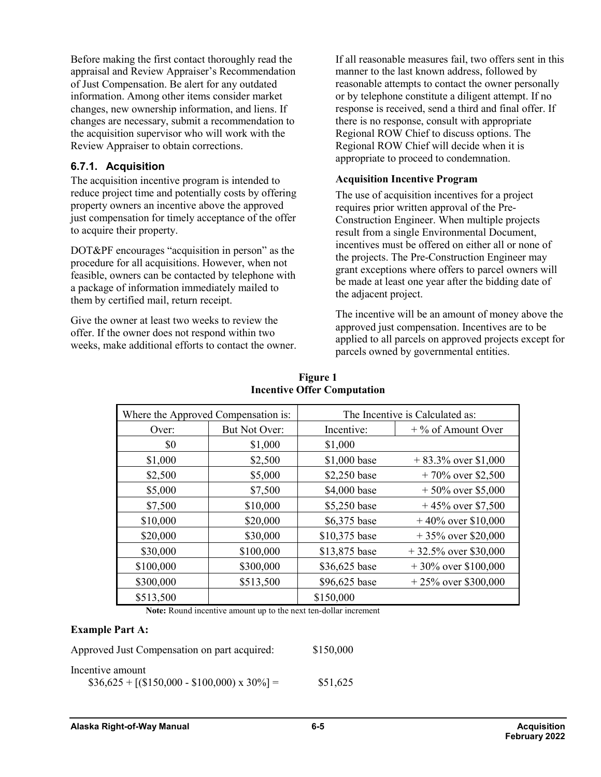Before making the first contact thoroughly read the appraisal and Review Appraiser's Recommendation of Just Compensation. Be alert for any outdated information. Among other items consider market changes, new ownership information, and liens. If changes are necessary, submit a recommendation to the acquisition supervisor who will work with the Review Appraiser to obtain corrections.

### **6.7.1. Acquisition**

The acquisition incentive program is intended to reduce project time and potentially costs by offering property owners an incentive above the approved just compensation for timely acceptance of the offer to acquire their property.

DOT&PF encourages "acquisition in person" as the procedure for all acquisitions. However, when not feasible, owners can be contacted by telephone with a package of information immediately mailed to them by certified mail, return receipt.

Give the owner at least two weeks to review the offer. If the owner does not respond within two weeks, make additional efforts to contact the owner. If all reasonable measures fail, two offers sent in this manner to the last known address, followed by reasonable attempts to contact the owner personally or by telephone constitute a diligent attempt. If no response is received, send a third and final offer. If there is no response, consult with appropriate Regional ROW Chief to discuss options. The Regional ROW Chief will decide when it is appropriate to proceed to condemnation.

#### **Acquisition Incentive Program**

The use of acquisition incentives for a project requires prior written approval of the Pre-Construction Engineer. When multiple projects result from a single Environmental Document, incentives must be offered on either all or none of the projects. The Pre-Construction Engineer may grant exceptions where offers to parcel owners will be made at least one year after the bidding date of the adjacent project.

The incentive will be an amount of money above the approved just compensation. Incentives are to be applied to all parcels on approved projects except for parcels owned by governmental entities.

| Where the Approved Compensation is: |               | The Incentive is Calculated as:    |                         |  |
|-------------------------------------|---------------|------------------------------------|-------------------------|--|
| Over:                               | But Not Over: | Incentive:<br>$+$ % of Amount Over |                         |  |
| \$0                                 | \$1,000       | \$1,000                            |                         |  |
| \$1,000                             | \$2,500       | \$1,000 base                       | $+83.3\%$ over \$1,000  |  |
| \$2,500                             | \$5,000       | \$2,250 base                       | $+70\%$ over \$2,500    |  |
| \$5,000                             | \$7,500       | \$4,000 base                       | $+50\%$ over \$5,000    |  |
| \$7,500                             | \$10,000      | \$5,250 base                       | $+45\%$ over \$7,500    |  |
| \$10,000                            | \$20,000      | \$6,375 base                       | $+40\%$ over \$10,000   |  |
| \$20,000                            | \$30,000      | \$10,375 base                      | $+35\%$ over \$20,000   |  |
| \$30,000                            | \$100,000     | \$13,875 base                      | $+32.5\%$ over \$30,000 |  |
| \$100,000                           | \$300,000     | \$36,625 base                      | $+30\%$ over \$100,000  |  |
| \$300,000                           | \$513,500     | \$96,625 base                      | $+25\%$ over \$300,000  |  |
| \$513,500                           |               | \$150,000                          |                         |  |

#### **Figure 1 Incentive Offer Computation**

**Note:** Round incentive amount up to the next ten-dollar increment

#### **Example Part A:**

| Approved Just Compensation on part acquired:        | \$150,000 |
|-----------------------------------------------------|-----------|
| Incentive amount                                    |           |
| $$36,625 + [(\$150,000 - \$100,000) \times 30\%] =$ | \$51,625  |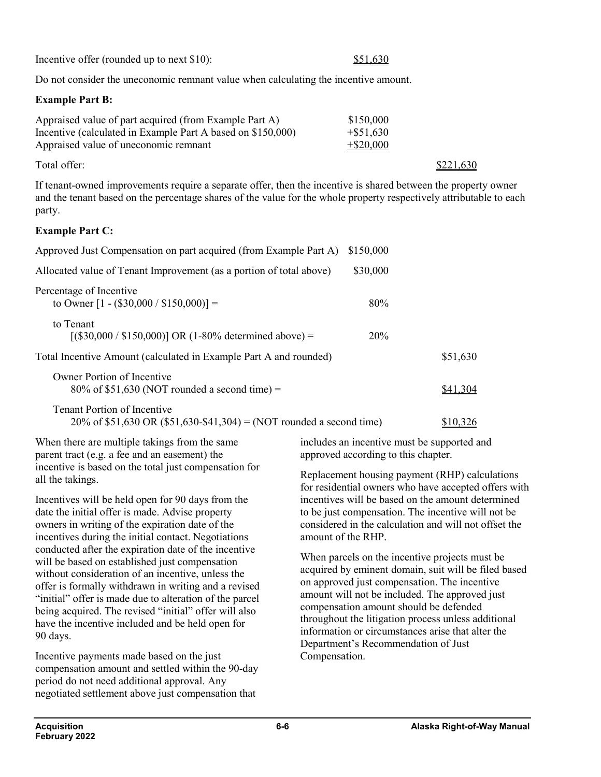Incentive offer (rounded up to next \$10): \$51,630

Do not consider the uneconomic remnant value when calculating the incentive amount.

### **Example Part B:**

| Appraised value of part acquired (from Example Part A)      | \$150,000    |
|-------------------------------------------------------------|--------------|
| Incentive (calculated in Example Part A based on \$150,000) | $+$ \$51,630 |
| Appraised value of uneconomic remnant                       | $+$ \$20,000 |
|                                                             |              |

Total offer:  $\frac{$221,630}{2}$ 

If tenant-owned improvements require a separate offer, then the incentive is shared between the property owner and the tenant based on the percentage shares of the value for the whole property respectively attributable to each party.

### **Example Part C:**

| Approved Just Compensation on part acquired (from Example Part A)                                          | \$150,000 |          |
|------------------------------------------------------------------------------------------------------------|-----------|----------|
| Allocated value of Tenant Improvement (as a portion of total above)                                        | \$30,000  |          |
| Percentage of Incentive<br>to Owner $[1 - (\$30,000 / \$150,000)] =$                                       | 80%       |          |
| to Tenant<br>$[(\$30,000 / \$150,000)] \text{ OR } (1-80\% \text{ determined above}) =$                    | 20%       |          |
| Total Incentive Amount (calculated in Example Part A and rounded)                                          |           | \$51,630 |
| Owner Portion of Incentive<br>$80\%$ of \$51,630 (NOT rounded a second time) =                             |           | \$41,304 |
| <b>Tenant Portion of Incentive</b><br>20% of \$51,630 OR (\$51,630-\$41,304) = (NOT rounded a second time) |           | \$10.326 |

When there are multiple takings from the same parent tract (e.g. a fee and an easement) the incentive is based on the total just compensation for all the takings.

Incentives will be held open for 90 days from the date the initial offer is made. Advise property owners in writing of the expiration date of the incentives during the initial contact. Negotiations conducted after the expiration date of the incentive will be based on established just compensation without consideration of an incentive, unless the offer is formally withdrawn in writing and a revised "initial" offer is made due to alteration of the parcel being acquired. The revised "initial" offer will also have the incentive included and be held open for 90 days.

Incentive payments made based on the just compensation amount and settled within the 90-day period do not need additional approval. Any negotiated settlement above just compensation that

includes an incentive must be supported and approved according to this chapter.

Replacement housing payment (RHP) calculations for residential owners who have accepted offers with incentives will be based on the amount determined to be just compensation. The incentive will not be considered in the calculation and will not offset the amount of the RHP.

When parcels on the incentive projects must be acquired by eminent domain, suit will be filed based on approved just compensation. The incentive amount will not be included. The approved just compensation amount should be defended throughout the litigation process unless additional information or circumstances arise that alter the Department's Recommendation of Just Compensation.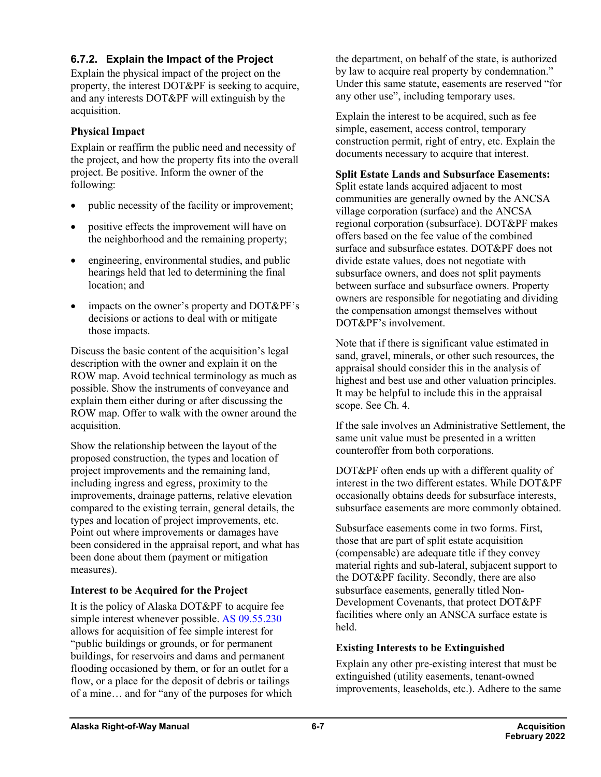### **6.7.2. Explain the Impact of the Project**

Explain the physical impact of the project on the property, the interest DOT&PF is seeking to acquire, and any interests DOT&PF will extinguish by the acquisition.

### **Physical Impact**

Explain or reaffirm the public need and necessity of the project, and how the property fits into the overall project. Be positive. Inform the owner of the following:

- public necessity of the facility or improvement;
- positive effects the improvement will have on the neighborhood and the remaining property;
- engineering, environmental studies, and public hearings held that led to determining the final location; and
- impacts on the owner's property and DOT&PF's decisions or actions to deal with or mitigate those impacts.

Discuss the basic content of the acquisition's legal description with the owner and explain it on the ROW map. Avoid technical terminology as much as possible. Show the instruments of conveyance and explain them either during or after discussing the ROW map. Offer to walk with the owner around the acquisition.

Show the relationship between the layout of the proposed construction, the types and location of project improvements and the remaining land, including ingress and egress, proximity to the improvements, drainage patterns, relative elevation compared to the existing terrain, general details, the types and location of project improvements, etc. Point out where improvements or damages have been considered in the appraisal report, and what has been done about them (payment or mitigation measures).

### **Interest to be Acquired for the Project**

It is the policy of Alaska DOT&PF to acquire fee simple interest whenever possible. AS [09.55.230](http://www.akleg.gov/basis/statutes.asp#09.55.250) allows for acquisition of fee simple interest for "public buildings or grounds, or for permanent buildings, for reservoirs and dams and permanent flooding occasioned by them, or for an outlet for a flow, or a place for the deposit of debris or tailings of a mine… and for "any of the purposes for which the department, on behalf of the state, is authorized by law to acquire real property by condemnation." Under this same statute, easements are reserved "for any other use", including temporary uses.

Explain the interest to be acquired, such as fee simple, easement, access control, temporary construction permit, right of entry, etc. Explain the documents necessary to acquire that interest.

### **Split Estate Lands and Subsurface Easements:**

Split estate lands acquired adjacent to most communities are generally owned by the ANCSA village corporation (surface) and the ANCSA regional corporation (subsurface). DOT&PF makes offers based on the fee value of the combined surface and subsurface estates. DOT&PF does not divide estate values, does not negotiate with subsurface owners, and does not split payments between surface and subsurface owners. Property owners are responsible for negotiating and dividing the compensation amongst themselves without DOT&PF's involvement.

Note that if there is significant value estimated in sand, gravel, minerals, or other such resources, the appraisal should consider this in the analysis of highest and best use and other valuation principles. It may be helpful to include this in the appraisal scope. See Ch. 4.

If the sale involves an Administrative Settlement, the same unit value must be presented in a written counteroffer from both corporations.

DOT&PF often ends up with a different quality of interest in the two different estates. While DOT&PF occasionally obtains deeds for subsurface interests, subsurface easements are more commonly obtained.

Subsurface easements come in two forms. First, those that are part of split estate acquisition (compensable) are adequate title if they convey material rights and sub-lateral, subjacent support to the DOT&PF facility. Secondly, there are also subsurface easements, generally titled Non-Development Covenants, that protect DOT&PF facilities where only an ANSCA surface estate is held.

### **Existing Interests to be Extinguished**

Explain any other pre-existing interest that must be extinguished (utility easements, tenant-owned improvements, leaseholds, etc.). Adhere to the same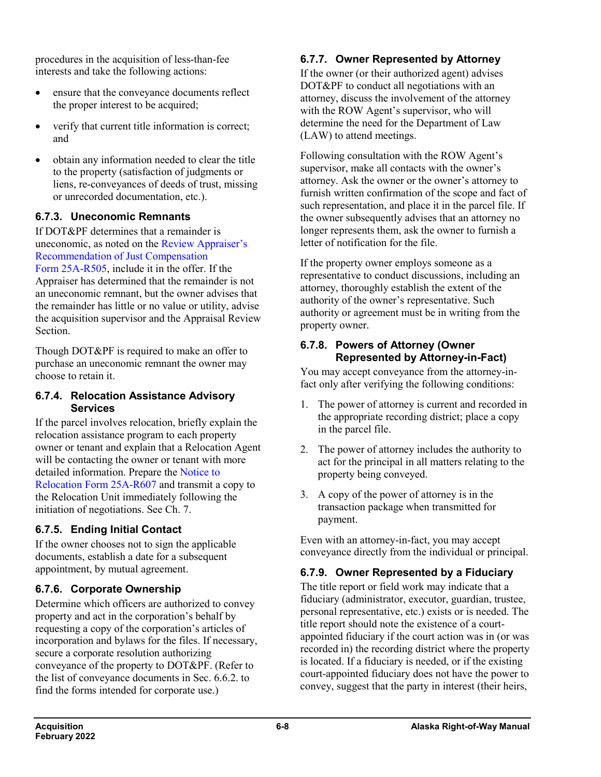procedures in the acquisition of less-than-fee interests and take the following actions:

- ensure that the conveyance documents reflect the proper interest to be acquired;
- verify that current title information is correct; and
- obtain any information needed to clear the title to the property (satisfaction of judgments or liens, re-conveyances of deeds of trust, missing or unrecorded documentation, etc.).

### **6.7.3. Uneconomic Remnants**

If DOT&PF determines that a remainder is uneconomic, as noted on the [Review Appraiser's](http://www.dot.state.ak.us/stwddes/dcsrow/assets/pdf/forms/25ar505.pdf)  [Recommendation of Just Compensation](http://www.dot.state.ak.us/stwddes/dcsrow/assets/pdf/forms/25ar505.pdf)  Form [25A-R505,](http://www.dot.state.ak.us/stwddes/dcsrow/assets/pdf/forms/25ar505.pdf) include it in the offer. If the Appraiser has determined that the remainder is not an uneconomic remnant, but the owner advises that the remainder has little or no value or utility, advise the acquisition supervisor and the Appraisal Review Section.

Though DOT&PF is required to make an offer to purchase an uneconomic remnant the owner may choose to retain it.

### **6.7.4. Relocation Assistance Advisory Services**

If the parcel involves relocation, briefly explain the relocation assistance program to each property owner or tenant and explain that a Relocation Agent will be contacting the owner or tenant with more detailed information. Prepare the [Notice to](http://www.dot.state.ak.us/stwddes/dcsrow/assets/pdf/forms/25ar607.pdf)  [Relocation Form](http://www.dot.state.ak.us/stwddes/dcsrow/assets/pdf/forms/25ar607.pdf) 25A-R607 and transmit a copy to the Relocation Unit immediately following the initiation of negotiations. See Ch. 7.

## **6.7.5. Ending Initial Contact**

If the owner chooses not to sign the applicable documents, establish a date for a subsequent appointment, by mutual agreement.

## **6.7.6. Corporate Ownership**

Determine which officers are authorized to convey property and act in the corporation's behalf by requesting a copy of the corporation's articles of incorporation and bylaws for the files. If necessary, secure a corporate resolution authorizing conveyance of the property to DOT&PF. (Refer to the list of conveyance documents in Sec. 6.6.2. to find the forms intended for corporate use.)

## **6.7.7. Owner Represented by Attorney**

If the owner (or their authorized agent) advises DOT&PF to conduct all negotiations with an attorney, discuss the involvement of the attorney with the ROW Agent's supervisor, who will determine the need for the Department of Law (LAW) to attend meetings.

Following consultation with the ROW Agent's supervisor, make all contacts with the owner's attorney. Ask the owner or the owner's attorney to furnish written confirmation of the scope and fact of such representation, and place it in the parcel file. If the owner subsequently advises that an attorney no longer represents them, ask the owner to furnish a letter of notification for the file.

If the property owner employs someone as a representative to conduct discussions, including an attorney, thoroughly establish the extent of the authority of the owner's representative. Such authority or agreement must be in writing from the property owner.

### **6.7.8. Powers of Attorney (Owner Represented by Attorney-in-Fact)**

You may accept conveyance from the attorney-infact only after verifying the following conditions:

- 1. The power of attorney is current and recorded in the appropriate recording district; place a copy in the parcel file.
- 2. The power of attorney includes the authority to act for the principal in all matters relating to the property being conveyed.
- 3. A copy of the power of attorney is in the transaction package when transmitted for payment.

Even with an attorney-in-fact, you may accept conveyance directly from the individual or principal.

## **6.7.9. Owner Represented by a Fiduciary**

The title report or field work may indicate that a fiduciary (administrator, executor, guardian, trustee, personal representative, etc.) exists or is needed. The title report should note the existence of a courtappointed fiduciary if the court action was in (or was recorded in) the recording district where the property is located. If a fiduciary is needed, or if the existing court-appointed fiduciary does not have the power to convey, suggest that the party in interest (their heirs,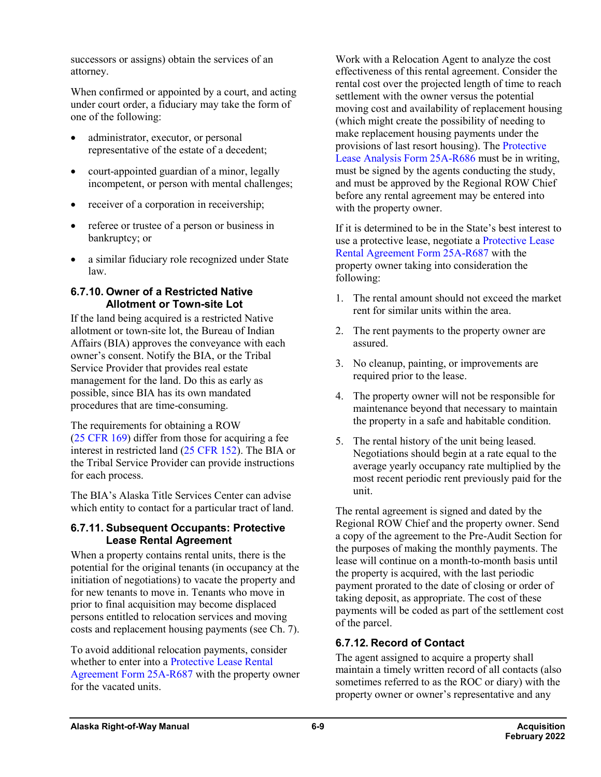successors or assigns) obtain the services of an attorney.

When confirmed or appointed by a court, and acting under court order, a fiduciary may take the form of one of the following:

- administrator, executor, or personal representative of the estate of a decedent;
- court-appointed guardian of a minor, legally incompetent, or person with mental challenges;
- receiver of a corporation in receivership;
- referee or trustee of a person or business in bankruptcy; or
- a similar fiduciary role recognized under State law.

### **6.7.10. Owner of a Restricted Native Allotment or Town-site Lot**

If the land being acquired is a restricted Native allotment or town-site lot, the Bureau of Indian Affairs (BIA) approves the conveyance with each owner's consent. Notify the BIA, or the Tribal Service Provider that provides real estate management for the land. Do this as early as possible, since BIA has its own mandated procedures that are time-consuming.

The requirements for obtaining a ROW (25 [CFR](https://www.ecfr.gov/cgi-bin/text-idx?SID=1549adad4af1b8ef9afa8435091b17ed&mc=true&node=pt25.1.169&rgn=div5) 169) differ from those for acquiring a fee interest in restricted land (25 [CFR](https://www.ecfr.gov/cgi-bin/text-idx?SID=1549adad4af1b8ef9afa8435091b17ed&mc=true&node=pt25.1.152&rgn=div5) 152). The BIA or the Tribal Service Provider can provide instructions for each process.

The BIA's Alaska Title Services Center can advise which entity to contact for a particular tract of land.

### **6.7.11. Subsequent Occupants: Protective Lease Rental Agreement**

When a property contains rental units, there is the potential for the original tenants (in occupancy at the initiation of negotiations) to vacate the property and for new tenants to move in. Tenants who move in prior to final acquisition may become displaced persons entitled to relocation services and moving costs and replacement housing payments (see Ch. 7).

To avoid additional relocation payments, consider whether to enter into [a Protective Lease Rental](http://www.dot.state.ak.us/stwddes/dcsrow/assets/pdf/forms/25ar687.pdf)  [Agreement Form](http://www.dot.state.ak.us/stwddes/dcsrow/assets/pdf/forms/25ar687.pdf) 25A-R687 with the property owner for the vacated units.

Work with a Relocation Agent to analyze the cost effectiveness of this rental agreement. Consider the rental cost over the projected length of time to reach settlement with the owner versus the potential moving cost and availability of replacement housing (which might create the possibility of needing to make replacement housing payments under the provisions of last resort housing). The [Protective](http://www.dot.state.ak.us/stwddes/dcsrow/assets/pdf/forms/25ar686.pdf)  [Lease Analysis Form](http://www.dot.state.ak.us/stwddes/dcsrow/assets/pdf/forms/25ar686.pdf) 25A-R686 must be in writing, must be signed by the agents conducting the study, and must be approved by the Regional ROW Chief before any rental agreement may be entered into with the property owner.

If it is determined to be in the State's best interest to use a protective lease, negotiate a [Protective Lease](http://www.dot.state.ak.us/stwddes/dcsrow/assets/pdf/forms/25ar687.pdf)  [Rental Agreement](http://www.dot.state.ak.us/stwddes/dcsrow/assets/pdf/forms/25ar687.pdf) Form 25A-R687 with the property owner taking into consideration the following:

- 1. The rental amount should not exceed the market rent for similar units within the area.
- 2. The rent payments to the property owner are assured.
- 3. No cleanup, painting, or improvements are required prior to the lease.
- 4. The property owner will not be responsible for maintenance beyond that necessary to maintain the property in a safe and habitable condition.
- 5. The rental history of the unit being leased. Negotiations should begin at a rate equal to the average yearly occupancy rate multiplied by the most recent periodic rent previously paid for the unit.

The rental agreement is signed and dated by the Regional ROW Chief and the property owner. Send a copy of the agreement to the Pre-Audit Section for the purposes of making the monthly payments. The lease will continue on a month-to-month basis until the property is acquired, with the last periodic payment prorated to the date of closing or order of taking deposit, as appropriate. The cost of these payments will be coded as part of the settlement cost of the parcel.

## **6.7.12. Record of Contact**

The agent assigned to acquire a property shall maintain a timely written record of all contacts (also sometimes referred to as the ROC or diary) with the property owner or owner's representative and any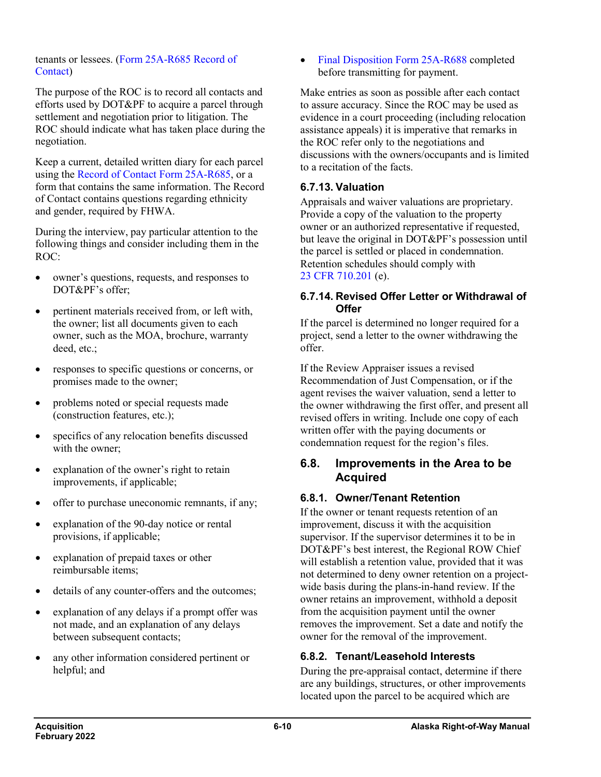#### tenants or lessees. (Form [25A-R685 Record of](http://www.dot.state.ak.us/stwddes/dcsrow/assets/pdf/forms/25ar685.pdf)  [Contact\)](http://www.dot.state.ak.us/stwddes/dcsrow/assets/pdf/forms/25ar685.pdf)

The purpose of the ROC is to record all contacts and efforts used by DOT&PF to acquire a parcel through settlement and negotiation prior to litigation. The ROC should indicate what has taken place during the negotiation.

Keep a current, detailed written diary for each parcel using the [Record of Contact Form](http://www.dot.state.ak.us/stwddes/dcsrow/assets/pdf/forms/25ar685.pdf) 25A-R685, or a form that contains the same information. The Record of Contact contains questions regarding ethnicity and gender, required by FHWA.

During the interview, pay particular attention to the following things and consider including them in the ROC:

- owner's questions, requests, and responses to DOT&PF's offer;
- pertinent materials received from, or left with, the owner; list all documents given to each owner, such as the MOA, brochure, warranty deed, etc.;
- responses to specific questions or concerns, or promises made to the owner;
- problems noted or special requests made (construction features, etc.);
- specifics of any relocation benefits discussed with the owner;
- explanation of the owner's right to retain improvements, if applicable;
- offer to purchase uneconomic remnants, if any;
- explanation of the 90-day notice or rental provisions, if applicable;
- explanation of prepaid taxes or other reimbursable items;
- details of any counter-offers and the outcomes;
- explanation of any delays if a prompt offer was not made, and an explanation of any delays between subsequent contacts;
- any other information considered pertinent or helpful; and

• [Final Disposition Form](http://www.dot.state.ak.us/stwddes/dcsrow/assets/pdf/forms/25ar688.pdf) 25A-R688 completed before transmitting for payment.

Make entries as soon as possible after each contact to assure accuracy. Since the ROC may be used as evidence in a court proceeding (including relocation assistance appeals) it is imperative that remarks in the ROC refer only to the negotiations and discussions with the owners/occupants and is limited to a recitation of the facts.

### **6.7.13. Valuation**

Appraisals and waiver valuations are proprietary. Provide a copy of the valuation to the property owner or an authorized representative if requested, but leave the original in DOT&PF's possession until the parcel is settled or placed in condemnation. Retention schedules should comply with 23 CFR [710.201](https://www.ecfr.gov/cgi-bin/text-idx?SID=1fad4147cbcad5de02b7b41d78b134f2&mc=true&node=se23.1.710_1201&rgn=div8) (e).

#### **6.7.14. Revised Offer Letter or Withdrawal of Offer**

If the parcel is determined no longer required for a project, send a letter to the owner withdrawing the offer.

If the Review Appraiser issues a revised Recommendation of Just Compensation, or if the agent revises the waiver valuation, send a letter to the owner withdrawing the first offer, and present all revised offers in writing. Include one copy of each written offer with the paying documents or condemnation request for the region's files.

### **6.8. Improvements in the Area to be Acquired**

### **6.8.1. Owner/Tenant Retention**

If the owner or tenant requests retention of an improvement, discuss it with the acquisition supervisor. If the supervisor determines it to be in DOT&PF's best interest, the Regional ROW Chief will establish a retention value, provided that it was not determined to deny owner retention on a projectwide basis during the plans-in-hand review. If the owner retains an improvement, withhold a deposit from the acquisition payment until the owner removes the improvement. Set a date and notify the owner for the removal of the improvement.

### **6.8.2. Tenant/Leasehold Interests**

During the pre-appraisal contact, determine if there are any buildings, structures, or other improvements located upon the parcel to be acquired which are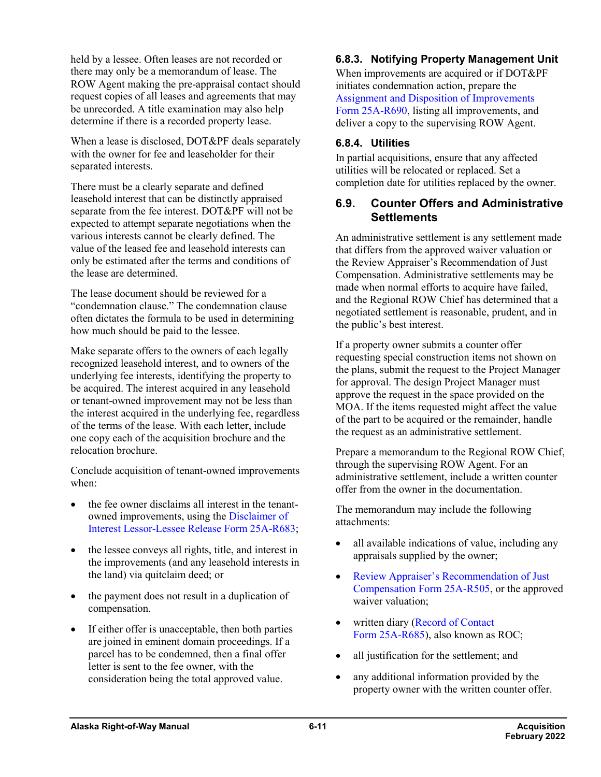held by a lessee. Often leases are not recorded or there may only be a memorandum of lease. The ROW Agent making the pre-appraisal contact should request copies of all leases and agreements that may be unrecorded. A title examination may also help determine if there is a recorded property lease.

When a lease is disclosed, DOT&PF deals separately with the owner for fee and leaseholder for their separated interests.

There must be a clearly separate and defined leasehold interest that can be distinctly appraised separate from the fee interest. DOT&PF will not be expected to attempt separate negotiations when the various interests cannot be clearly defined. The value of the leased fee and leasehold interests can only be estimated after the terms and conditions of the lease are determined.

The lease document should be reviewed for a "condemnation clause." The condemnation clause often dictates the formula to be used in determining how much should be paid to the lessee.

Make separate offers to the owners of each legally recognized leasehold interest, and to owners of the underlying fee interests, identifying the property to be acquired. The interest acquired in any leasehold or tenant-owned improvement may not be less than the interest acquired in the underlying fee, regardless of the terms of the lease. With each letter, include one copy each of the acquisition brochure and the relocation brochure.

Conclude acquisition of tenant-owned improvements when:

- the fee owner disclaims all interest in the tenantowned improvements, using the [Disclaimer of](http://www.dot.state.ak.us/stwddes/dcsrow/assets/pdf/forms/25ar683.pdf)  Interest [Lessor-Lessee Release Form](http://www.dot.state.ak.us/stwddes/dcsrow/assets/pdf/forms/25ar683.pdf) 25A-R683;
- the lessee conveys all rights, title, and interest in the improvements (and any leasehold interests in the land) via quitclaim deed; or
- the payment does not result in a duplication of compensation.
- If either offer is unacceptable, then both parties are joined in eminent domain proceedings. If a parcel has to be condemned, then a final offer letter is sent to the fee owner, with the consideration being the total approved value.

## **6.8.3. Notifying Property Management Unit**

When improvements are acquired or if DOT&PF initiates condemnation action, prepare the [Assignment and Disposition of Improvements](http://www.dot.state.ak.us/stwddes/dcsrow/assets/pdf/forms/25ar690.pdf)  Form [25A-R690,](http://www.dot.state.ak.us/stwddes/dcsrow/assets/pdf/forms/25ar690.pdf) listing all improvements, and deliver a copy to the supervising ROW Agent.

### **6.8.4. Utilities**

In partial acquisitions, ensure that any affected utilities will be relocated or replaced. Set a completion date for utilities replaced by the owner.

### **6.9. Counter Offers and Administrative Settlements**

An administrative settlement is any settlement made that differs from the approved waiver valuation or the Review Appraiser's Recommendation of Just Compensation. Administrative settlements may be made when normal efforts to acquire have failed, and the Regional ROW Chief has determined that a negotiated settlement is reasonable, prudent, and in the public's best interest.

If a property owner submits a counter offer requesting special construction items not shown on the plans, submit the request to the Project Manager for approval. The design Project Manager must approve the request in the space provided on the MOA. If the items requested might affect the value of the part to be acquired or the remainder, handle the request as an administrative settlement.

Prepare a memorandum to the Regional ROW Chief, through the supervising ROW Agent. For an administrative settlement, include a written counter offer from the owner in the documentation.

The memorandum may include the following attachments:

- all available indications of value, including any appraisals supplied by the owner;
- [Review Appraiser's Recommendation of Just](http://www.dot.state.ak.us/stwddes/dcsrow/assets/pdf/forms/25ar505.pdf)  [Compensation Form](http://www.dot.state.ak.us/stwddes/dcsrow/assets/pdf/forms/25ar505.pdf) 25A-R505, or the approved waiver valuation;
- written diary (Record of Contact Form [25A-R685\)](http://www.dot.state.ak.us/stwddes/dcsrow/assets/pdf/forms/25ar685.pdf), also known as ROC;
- all justification for the settlement; and
- any additional information provided by the property owner with the written counter offer.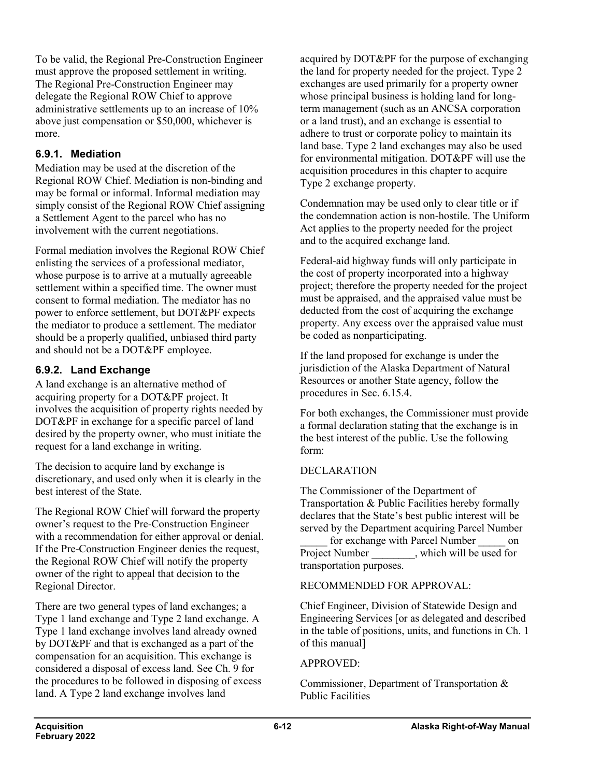To be valid, the Regional Pre-Construction Engineer must approve the proposed settlement in writing. The Regional Pre-Construction Engineer may delegate the Regional ROW Chief to approve administrative settlements up to an increase of 10% above just compensation or \$50,000, whichever is more.

## **6.9.1. Mediation**

Mediation may be used at the discretion of the Regional ROW Chief. Mediation is non-binding and may be formal or informal. Informal mediation may simply consist of the Regional ROW Chief assigning a Settlement Agent to the parcel who has no involvement with the current negotiations.

Formal mediation involves the Regional ROW Chief enlisting the services of a professional mediator, whose purpose is to arrive at a mutually agreeable settlement within a specified time. The owner must consent to formal mediation. The mediator has no power to enforce settlement, but DOT&PF expects the mediator to produce a settlement. The mediator should be a properly qualified, unbiased third party and should not be a DOT&PF employee.

## **6.9.2. Land Exchange**

A land exchange is an alternative method of acquiring property for a DOT&PF project. It involves the acquisition of property rights needed by DOT&PF in exchange for a specific parcel of land desired by the property owner, who must initiate the request for a land exchange in writing.

The decision to acquire land by exchange is discretionary, and used only when it is clearly in the best interest of the State.

The Regional ROW Chief will forward the property owner's request to the Pre-Construction Engineer with a recommendation for either approval or denial. If the Pre-Construction Engineer denies the request, the Regional ROW Chief will notify the property owner of the right to appeal that decision to the Regional Director.

There are two general types of land exchanges; a Type 1 land exchange and Type 2 land exchange. A Type 1 land exchange involves land already owned by DOT&PF and that is exchanged as a part of the compensation for an acquisition. This exchange is considered a disposal of excess land. See Ch. 9 for the procedures to be followed in disposing of excess land. A Type 2 land exchange involves land

acquired by DOT&PF for the purpose of exchanging the land for property needed for the project. Type 2 exchanges are used primarily for a property owner whose principal business is holding land for longterm management (such as an ANCSA corporation or a land trust), and an exchange is essential to adhere to trust or corporate policy to maintain its land base. Type 2 land exchanges may also be used for environmental mitigation. DOT&PF will use the acquisition procedures in this chapter to acquire Type 2 exchange property.

Condemnation may be used only to clear title or if the condemnation action is non-hostile. The Uniform Act applies to the property needed for the project and to the acquired exchange land.

Federal-aid highway funds will only participate in the cost of property incorporated into a highway project; therefore the property needed for the project must be appraised, and the appraised value must be deducted from the cost of acquiring the exchange property. Any excess over the appraised value must be coded as nonparticipating.

If the land proposed for exchange is under the jurisdiction of the Alaska Department of Natural Resources or another State agency, follow the procedures in Sec. 6.15.4.

For both exchanges, the Commissioner must provide a formal declaration stating that the exchange is in the best interest of the public. Use the following form:

### DECLARATION

The Commissioner of the Department of Transportation & Public Facilities hereby formally declares that the State's best public interest will be served by the Department acquiring Parcel Number

for exchange with Parcel Number on Project Number , which will be used for transportation purposes.

### RECOMMENDED FOR APPROVAL:

Chief Engineer, Division of Statewide Design and Engineering Services [or as delegated and described in the table of positions, units, and functions in Ch. 1 of this manual]

#### APPROVED:

Commissioner, Department of Transportation & Public Facilities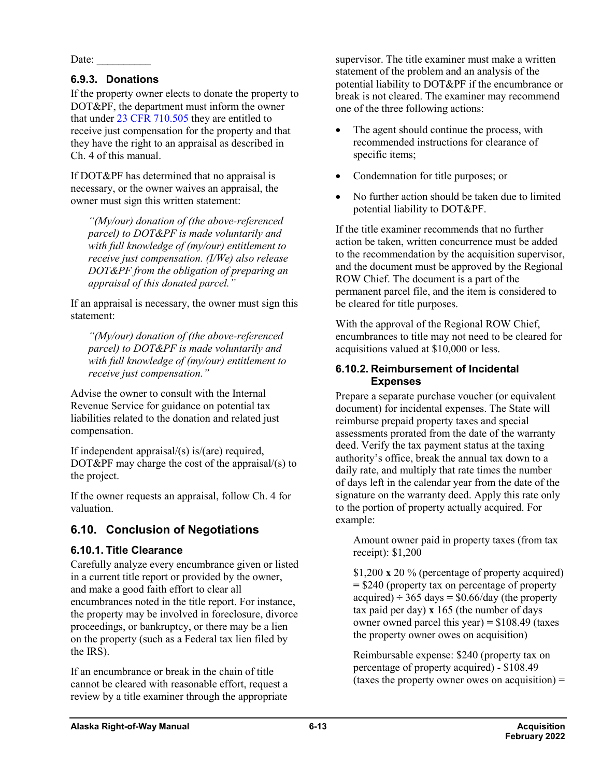Date:

### **6.9.3. Donations**

If the property owner elects to donate the property to DOT&PF, the department must inform the owner that under 23 CFR [710.505](https://www.ecfr.gov/cgi-bin/retrieveECFR?gp=&SID=1fad4147cbcad5de02b7b41d78b134f2&mc=true&n=pt23.1.710&r=PART&ty=HTML#se23.1.710_1505) they are entitled to receive just compensation for the property and that they have the right to an appraisal as described in Ch. 4 of this manual.

If DOT&PF has determined that no appraisal is necessary, or the owner waives an appraisal, the owner must sign this written statement:

*"(My/our) donation of (the above-referenced parcel) to DOT&PF is made voluntarily and with full knowledge of (my/our) entitlement to receive just compensation. (I/We) also release DOT&PF from the obligation of preparing an appraisal of this donated parcel."*

If an appraisal is necessary, the owner must sign this statement:

*"(My/our) donation of (the above-referenced parcel) to DOT&PF is made voluntarily and with full knowledge of (my/our) entitlement to receive just compensation."*

Advise the owner to consult with the Internal Revenue Service for guidance on potential tax liabilities related to the donation and related just compensation.

If independent appraisal/(s) is/(are) required, DOT&PF may charge the cost of the appraisal/(s) to the project.

If the owner requests an appraisal, follow Ch. 4 for valuation.

## **6.10. Conclusion of Negotiations**

### **6.10.1. Title Clearance**

Carefully analyze every encumbrance given or listed in a current title report or provided by the owner, and make a good faith effort to clear all encumbrances noted in the title report. For instance, the property may be involved in foreclosure, divorce proceedings, or bankruptcy, or there may be a lien on the property (such as a Federal tax lien filed by the IRS).

If an encumbrance or break in the chain of title cannot be cleared with reasonable effort, request a review by a title examiner through the appropriate

supervisor. The title examiner must make a written statement of the problem and an analysis of the potential liability to DOT&PF if the encumbrance or break is not cleared. The examiner may recommend one of the three following actions:

- The agent should continue the process, with recommended instructions for clearance of specific items;
- Condemnation for title purposes; or
- No further action should be taken due to limited potential liability to DOT&PF.

If the title examiner recommends that no further action be taken, written concurrence must be added to the recommendation by the acquisition supervisor, and the document must be approved by the Regional ROW Chief. The document is a part of the permanent parcel file, and the item is considered to be cleared for title purposes.

With the approval of the Regional ROW Chief, encumbrances to title may not need to be cleared for acquisitions valued at \$10,000 or less.

#### **6.10.2. Reimbursement of Incidental Expenses**

Prepare a separate purchase voucher (or equivalent document) for incidental expenses. The State will reimburse prepaid property taxes and special assessments prorated from the date of the warranty deed. Verify the tax payment status at the taxing authority's office, break the annual tax down to a daily rate, and multiply that rate times the number of days left in the calendar year from the date of the signature on the warranty deed. Apply this rate only to the portion of property actually acquired. For example:

Amount owner paid in property taxes (from tax receipt): \$1,200

\$1,200 **x** 20 % (percentage of property acquired) **=** \$240 (property tax on percentage of property acquired)  $\div$  365 days =  $$0.66$ /day (the property tax paid per day) **x** 165 (the number of days owner owned parcel this year) **=** \$108.49 (taxes the property owner owes on acquisition)

Reimbursable expense: \$240 (property tax on percentage of property acquired) - \$108.49 (taxes the property owner owes on acquisition)  $=$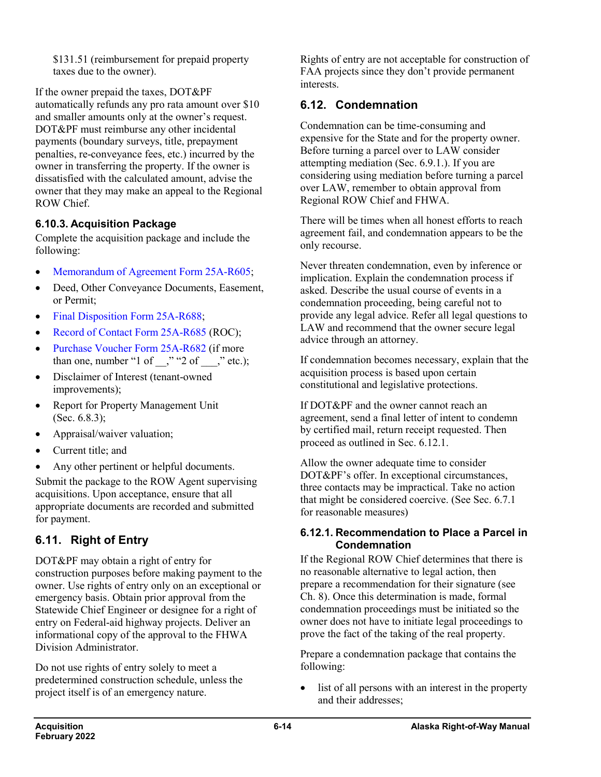\$131.51 (reimbursement for prepaid property taxes due to the owner).

If the owner prepaid the taxes, DOT&PF automatically refunds any pro rata amount over \$10 and smaller amounts only at the owner's request. DOT&PF must reimburse any other incidental payments (boundary surveys, title, prepayment penalties, re-conveyance fees, etc.) incurred by the owner in transferring the property. If the owner is dissatisfied with the calculated amount, advise the owner that they may make an appeal to the Regional ROW Chief.

### **6.10.3. Acquisition Package**

Complete the acquisition package and include the following:

- [Memorandum of Agreement](http://www.dot.state.ak.us/stwddes/dcsrow/assets/pdf/forms/25ar605.pdf) Form 25A-R605;
- Deed, Other Conveyance Documents, Easement, or Permit;
- [Final Disposition Form](http://www.dot.state.ak.us/stwddes/dcsrow/assets/pdf/forms/25ar688.pdf) 25A-R688;
- [Record of Contact Form](http://www.dot.state.ak.us/stwddes/dcsrow/assets/pdf/forms/25ar685.pdf) 25A-R685 (ROC);
- [Purchase Voucher Form](http://www.dot.state.ak.us/stwddes/dcsrow/assets/pdf/forms/25ar682.pdf) 25A-R682 (if more than one, number "1 of  $\cdot$ ," "2 of  $\cdot$ ," etc.);
- Disclaimer of Interest (tenant-owned improvements);
- Report for Property Management Unit (Sec. 6.8.3);
- Appraisal/waiver valuation;
- Current title; and
- Any other pertinent or helpful documents.

Submit the package to the ROW Agent supervising acquisitions. Upon acceptance, ensure that all appropriate documents are recorded and submitted for payment.

## **6.11. Right of Entry**

DOT&PF may obtain a right of entry for construction purposes before making payment to the owner. Use rights of entry only on an exceptional or emergency basis. Obtain prior approval from the Statewide Chief Engineer or designee for a right of entry on Federal-aid highway projects. Deliver an informational copy of the approval to the FHWA Division Administrator.

Do not use rights of entry solely to meet a predetermined construction schedule, unless the project itself is of an emergency nature.

Rights of entry are not acceptable for construction of FAA projects since they don't provide permanent interests.

## **6.12. Condemnation**

Condemnation can be time-consuming and expensive for the State and for the property owner. Before turning a parcel over to LAW consider attempting mediation (Sec. 6.9.1.). If you are considering using mediation before turning a parcel over LAW, remember to obtain approval from Regional ROW Chief and FHWA.

There will be times when all honest efforts to reach agreement fail, and condemnation appears to be the only recourse.

Never threaten condemnation, even by inference or implication. Explain the condemnation process if asked. Describe the usual course of events in a condemnation proceeding, being careful not to provide any legal advice. Refer all legal questions to LAW and recommend that the owner secure legal advice through an attorney.

If condemnation becomes necessary, explain that the acquisition process is based upon certain constitutional and legislative protections.

If DOT&PF and the owner cannot reach an agreement, send a final letter of intent to condemn by certified mail, return receipt requested. Then proceed as outlined in Sec. 6.12.1.

Allow the owner adequate time to consider DOT&PF's offer. In exceptional circumstances, three contacts may be impractical. Take no action that might be considered coercive. (See Sec. 6.7.1 for reasonable measures)

#### **6.12.1. Recommendation to Place a Parcel in Condemnation**

If the Regional ROW Chief determines that there is no reasonable alternative to legal action, then prepare a recommendation for their signature (see Ch. 8). Once this determination is made, formal condemnation proceedings must be initiated so the owner does not have to initiate legal proceedings to prove the fact of the taking of the real property.

Prepare a condemnation package that contains the following:

• list of all persons with an interest in the property and their addresses;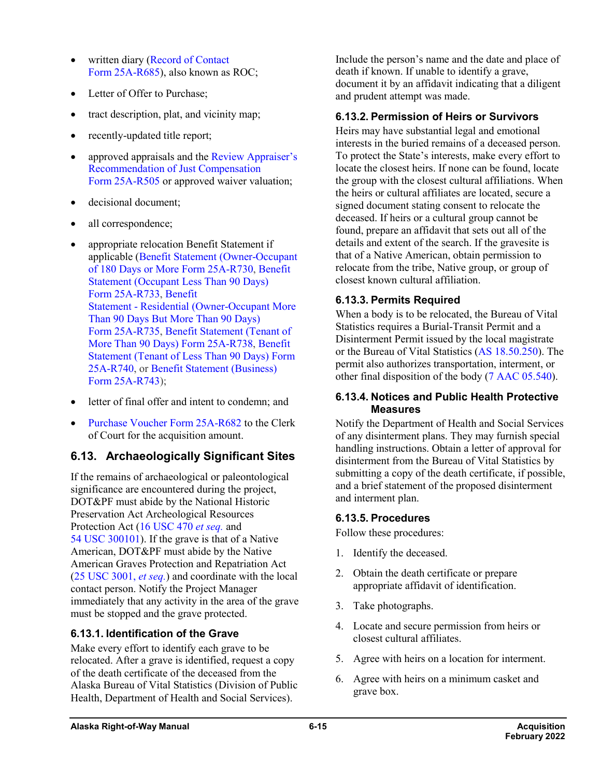- written diary (Record of Contact Form [25A-R685\)](http://www.dot.state.ak.us/stwddes/dcsrow/assets/pdf/forms/25ar685.pdf), also known as ROC;
- Letter of Offer to Purchase:
- tract description, plat, and vicinity map;
- recently-updated title report;
- approved appraisals and the Review Appraiser's [Recommendation of Just Compensation](http://www.dot.state.ak.us/stwddes/dcsrow/assets/pdf/forms/25ar505.pdf) Form [25A-R505](http://www.dot.state.ak.us/stwddes/dcsrow/assets/pdf/forms/25ar505.pdf) or approved waiver valuation;
- decisional document;
- all correspondence;
- appropriate relocation Benefit Statement if applicable [\(Benefit Statement \(Owner-Occupant](http://www.dot.state.ak.us/stwddes/dcsrow/assets/pdf/forms/25ar730.pdf)  [of 180 Days or More](http://www.dot.state.ak.us/stwddes/dcsrow/assets/pdf/forms/25ar730.pdf) Form 25A-R730, [Benefit](http://www.dot.state.ak.us/stwddes/dcsrow/assets/pdf/forms/25ar733.pdf)  [Statement \(Occupant Less Than 90 Days\)](http://www.dot.state.ak.us/stwddes/dcsrow/assets/pdf/forms/25ar733.pdf)  Form [25A-R733,](http://www.dot.state.ak.us/stwddes/dcsrow/assets/pdf/forms/25ar733.pdf) [Benefit](http://www.dot.state.ak.us/stwddes/dcsrow/assets/pdf/forms/25ar735.pdf)  Statement - [Residential \(Owner-Occupant More](http://www.dot.state.ak.us/stwddes/dcsrow/assets/pdf/forms/25ar735.pdf)  [Than 90 Days But More Than 90 Days\)](http://www.dot.state.ak.us/stwddes/dcsrow/assets/pdf/forms/25ar735.pdf)  Form [25A-R735,](http://www.dot.state.ak.us/stwddes/dcsrow/assets/pdf/forms/25ar735.pdf) [Benefit Statement \(Tenant of](http://www.dot.state.ak.us/stwddes/dcsrow/assets/pdf/forms/25ar738.pdf)  [More Than 90 Days\) Form](http://www.dot.state.ak.us/stwddes/dcsrow/assets/pdf/forms/25ar738.pdf) 25A-R738, [Benefit](http://www.dot.state.ak.us/stwddes/dcsrow/assets/pdf/forms/25ar740.pdf)  [Statement \(Tenant of Less Than 90 Days\) Form](http://www.dot.state.ak.us/stwddes/dcsrow/assets/pdf/forms/25ar740.pdf)  [25A-R740,](http://www.dot.state.ak.us/stwddes/dcsrow/assets/pdf/forms/25ar740.pdf) or [Benefit Statement](http://www.dot.state.ak.us/stwddes/dcsrow/assets/pdf/forms/25ar743.pdf) (Business) Form [25A-R743\)](http://www.dot.state.ak.us/stwddes/dcsrow/assets/pdf/forms/25ar743.pdf);
- letter of final offer and intent to condemn; and
- [Purchase Voucher Form](http://www.dot.state.ak.us/stwddes/dcsrow/assets/pdf/forms/25ar682.pdf) 25A-R682 to the Clerk of Court for the acquisition amount.

## **6.13. Archaeologically Significant Sites**

If the remains of archaeological or paleontological significance are encountered during the project, DOT&PF must abide by the National Historic Preservation Act Archeological Resources Protection Act (16 USC 470 *[et seq.](http://uscode.house.gov/view.xhtml?req=16+U.S.+Code+470&f=treesort&fq=true&num=29&hl=true&edition=prelim&granuleId=USC-prelim-title16-section470)* and 54 USC [300101\)](http://uscode.house.gov/view.xhtml?req=54+USC+300101&f=treesort&fq=true&num=25&hl=true&edition=prelim&granuleId=USC-prelim-title54-section300101). If the grave is that of a Native American, DOT&PF must abide by the Native American Graves Protection and Repatriation Act (25 USC 3001, *[et seq.](http://uscode.house.gov/view.xhtml?req=(title:25%20section:3001%20edition:prelim)%20OR%20(granuleid:USC-prelim-title25-section3001)&f=treesort&edition=prelim&num=0&jumpTo=true)*) and coordinate with the local contact person. Notify the Project Manager immediately that any activity in the area of the grave must be stopped and the grave protected.

### **6.13.1. Identification of the Grave**

Make every effort to identify each grave to be relocated. After a grave is identified, request a copy of the death certificate of the deceased from the Alaska Bureau of Vital Statistics (Division of Public Health, Department of Health and Social Services).

Include the person's name and the date and place of death if known. If unable to identify a grave, document it by an affidavit indicating that a diligent and prudent attempt was made.

### **6.13.2. Permission of Heirs or Survivors**

Heirs may have substantial legal and emotional interests in the buried remains of a deceased person. To protect the State's interests, make every effort to locate the closest heirs. If none can be found, locate the group with the closest cultural affiliations. When the heirs or cultural affiliates are located, secure a signed document stating consent to relocate the deceased. If heirs or a cultural group cannot be found, prepare an affidavit that sets out all of the details and extent of the search. If the gravesite is that of a Native American, obtain permission to relocate from the tribe, Native group, or group of closest known cultural affiliation.

### **6.13.3. Permits Required**

When a body is to be relocated, the Bureau of Vital Statistics requires a Burial-Transit Permit and a Disinterment Permit issued by the local magistrate or the Bureau of Vital Statistics (AS [18.50.250\)](http://www.akleg.gov/basis/statutes.asp#18.50.250). The permit also authorizes transportation, interment, or other final disposition of the body (7 AAC [05.540\)](http://www.akleg.gov/basis/aac.asp#7.05.540).

#### **6.13.4. Notices and Public Health Protective Measures**

Notify the Department of Health and Social Services of any disinterment plans. They may furnish special handling instructions. Obtain a letter of approval for disinterment from the Bureau of Vital Statistics by submitting a copy of the death certificate, if possible, and a brief statement of the proposed disinterment and interment plan.

### **6.13.5. Procedures**

Follow these procedures:

- 1. Identify the deceased.
- 2. Obtain the death certificate or prepare appropriate affidavit of identification.
- 3. Take photographs.
- 4. Locate and secure permission from heirs or closest cultural affiliates.
- 5. Agree with heirs on a location for interment.
- 6. Agree with heirs on a minimum casket and grave box.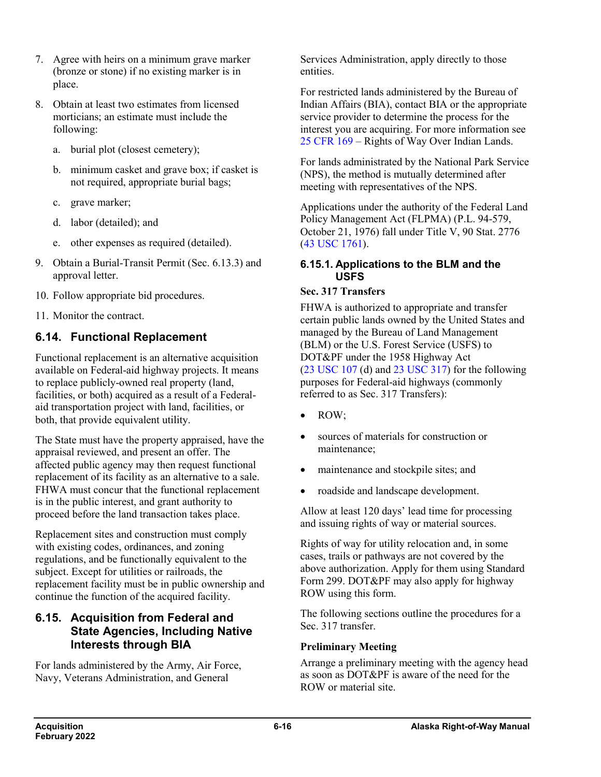- 7. Agree with heirs on a minimum grave marker (bronze or stone) if no existing marker is in place.
- 8. Obtain at least two estimates from licensed morticians; an estimate must include the following:
	- a. burial plot (closest cemetery);
	- b. minimum casket and grave box; if casket is not required, appropriate burial bags;
	- c. grave marker;
	- d. labor (detailed); and
	- e. other expenses as required (detailed).
- 9. Obtain a Burial-Transit Permit (Sec. 6.13.3) and approval letter.
- 10. Follow appropriate bid procedures.
- 11. Monitor the contract.

## **6.14. Functional Replacement**

Functional replacement is an alternative acquisition available on Federal-aid highway projects. It means to replace publicly-owned real property (land, facilities, or both) acquired as a result of a Federalaid transportation project with land, facilities, or both, that provide equivalent utility.

The State must have the property appraised, have the appraisal reviewed, and present an offer. The affected public agency may then request functional replacement of its facility as an alternative to a sale. FHWA must concur that the functional replacement is in the public interest, and grant authority to proceed before the land transaction takes place.

Replacement sites and construction must comply with existing codes, ordinances, and zoning regulations, and be functionally equivalent to the subject. Except for utilities or railroads, the replacement facility must be in public ownership and continue the function of the acquired facility.

### **6.15. Acquisition from Federal and State Agencies, Including Native Interests through BIA**

For lands administered by the Army, Air Force, Navy, Veterans Administration, and General

Services Administration, apply directly to those entities.

For restricted lands administered by the Bureau of Indian Affairs (BIA), contact BIA or the appropriate service provider to determine the process for the interest you are acquiring. For more information see 25 [CFR](https://www.ecfr.gov/cgi-bin/text-idx?SID=1fad4147cbcad5de02b7b41d78b134f2&mc=true&tpl=/ecfrbrowse/Title25/25cfr169_main_02.tpl) 169 – Rights of Way Over Indian Lands.

For lands administrated by the National Park Service (NPS), the method is mutually determined after meeting with representatives of the NPS.

Applications under the authority of the Federal Land Policy Management Act (FLPMA) (P.L. 94-579, October 21, 1976) fall under Title V, 90 Stat. 2776 (43 USC [1761\)](http://uscode.house.gov/view.xhtml?req=43+USC+1761&f=treesort&fq=true&num=22&hl=true&edition=prelim&granuleId=USC-prelim-title43-section1761).

### **6.15.1. Applications to the BLM and the USFS**

#### **Sec. 317 Transfers**

FHWA is authorized to appropriate and transfer certain public lands owned by the United States and managed by the Bureau of Land Management (BLM) or the U.S. Forest Service (USFS) to DOT&PF under the 1958 Highway Act  $(23 \text{ USC } 107 \text{ (d)}$  $(23 \text{ USC } 107 \text{ (d)}$  $(23 \text{ USC } 107 \text{ (d)}$  and  $23 \text{ USC } 317)$  for the following purposes for Federal-aid highways (commonly referred to as Sec. 317 Transfers):

- ROW;
- sources of materials for construction or maintenance;
- maintenance and stockpile sites; and
- roadside and landscape development.

Allow at least 120 days' lead time for processing and issuing rights of way or material sources.

Rights of way for utility relocation and, in some cases, trails or pathways are not covered by the above authorization. Apply for them using Standard Form 299. DOT&PF may also apply for highway ROW using this form.

The following sections outline the procedures for a Sec. 317 transfer.

### **Preliminary Meeting**

Arrange a preliminary meeting with the agency head as soon as DOT&PF is aware of the need for the ROW or material site.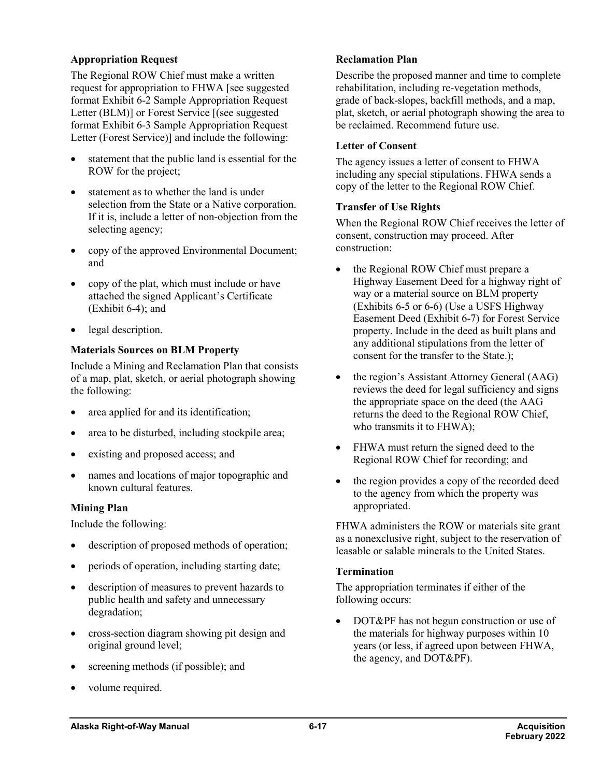#### **Appropriation Request**

The Regional ROW Chief must make a written request for appropriation to FHWA [see suggested format Exhibit 6-2 Sample Appropriation Request Letter (BLM)] or Forest Service [(see suggested format Exhibit 6-3 Sample Appropriation Request Letter (Forest Service)] and include the following:

- statement that the public land is essential for the ROW for the project;
- statement as to whether the land is under selection from the State or a Native corporation. If it is, include a letter of non-objection from the selecting agency;
- copy of the approved Environmental Document; and
- copy of the plat, which must include or have attached the signed [Applicant's Certificate](http://www.dot.state.ak.us/stwddes/dcsrow/urlindex.html#MiscNonDOTPFExhibitForms) [\(Exhibit](http://www.dot.state.ak.us/stwddes/dcsrow/urlindex.html#MiscNonDOTPFExhibitForms) 6-4); and
- legal description.

#### **Materials Sources on BLM Property**

Include a Mining and Reclamation Plan that consists of a map, plat, sketch, or aerial photograph showing the following:

- area applied for and its identification;
- area to be disturbed, including stockpile area;
- existing and proposed access; and
- names and locations of major topographic and known cultural features.

#### **Mining Plan**

Include the following:

- description of proposed methods of operation;
- periods of operation, including starting date;
- description of measures to prevent hazards to public health and safety and unnecessary degradation;
- cross-section diagram showing pit design and original ground level;
- screening methods (if possible); and
- volume required.

#### **Reclamation Plan**

Describe the proposed manner and time to complete rehabilitation, including re-vegetation methods, grade of back-slopes, backfill methods, and a map, plat, sketch, or aerial photograph showing the area to be reclaimed. Recommend future use.

#### **Letter of Consent**

The agency issues a letter of consent to FHWA including any special stipulations. FHWA sends a copy of the letter to the Regional ROW Chief.

#### **Transfer of Use Rights**

When the Regional ROW Chief receives the letter of consent, construction may proceed. After construction:

- the Regional ROW Chief must prepare a [Highway Easement Deed](http://www.dot.state.ak.us/stwddes/dcsrow/urlindex.html#MiscNonDOTPFExhibitForms) for a highway right of way or a material source on BLM property (Exhibits [6-5 or 6-6\)](http://www.dot.state.ak.us/stwddes/dcsrow/urlindex.html#MiscNonDOTPFExhibitForms) (Use a USF[S Highway](http://www.dot.state.ak.us/stwddes/dcsrow/urlindex.html#MiscNonDOTPFExhibitForms)  [Easement Deed \(Exhibit](http://www.dot.state.ak.us/stwddes/dcsrow/urlindex.html#MiscNonDOTPFExhibitForms) 6-7) for Forest Service property. Include in the deed as built plans and any additional stipulations from the letter of consent for the transfer to the State.);
- the region's Assistant Attorney General (AAG) reviews the deed for legal sufficiency and signs the appropriate space on the deed (the AAG returns the deed to the Regional ROW Chief, who transmits it to FHWA);
- FHWA must return the signed deed to the Regional ROW Chief for recording; and
- the region provides a copy of the recorded deed to the agency from which the property was appropriated.

FHWA administers the ROW or materials site grant as a nonexclusive right, subject to the reservation of leasable or salable minerals to the United States.

#### **Termination**

The appropriation terminates if either of the following occurs:

• DOT&PF has not begun construction or use of the materials for highway purposes within 10 years (or less, if agreed upon between FHWA, the agency, and DOT&PF).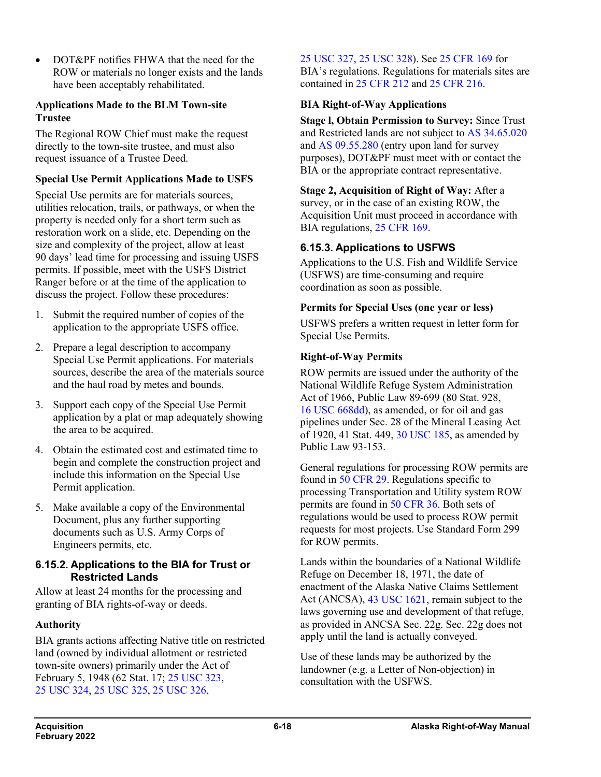• DOT&PF notifies FHWA that the need for the ROW or materials no longer exists and the lands have been acceptably rehabilitated.

#### **Applications Made to the BLM Town-site Trustee**

The Regional ROW Chief must make the request directly to the town-site trustee, and must also request issuance of a Trustee Deed.

### **Special Use Permit Applications Made to USFS**

Special Use permits are for materials sources, utilities relocation, trails, or pathways, or when the property is needed only for a short term such as restoration work on a slide, etc. Depending on the size and complexity of the project, allow at least 90 days' lead time for processing and issuing USFS permits. If possible, meet with the USFS District Ranger before or at the time of the application to discuss the project. Follow these procedures:

- 1. Submit the required number of copies of the application to the appropriate USFS office.
- 2. Prepare a legal description to accompany Special Use Permit applications. For materials sources, describe the area of the materials source and the haul road by metes and bounds.
- 3. Support each copy of the Special Use Permit application by a plat or map adequately showing the area to be acquired.
- 4. Obtain the estimated cost and estimated time to begin and complete the construction project and include this information on the Special Use Permit application.
- 5. Make available a copy of the Environmental Document, plus any further supporting documents such as U.S. Army Corps of Engineers permits, etc.

### **6.15.2. Applications to the BIA for Trust or Restricted Lands**

Allow at least 24 months for the processing and granting of BIA rights-of-way or deeds.

### **Authority**

BIA grants actions affecting Native title on restricted land (owned by individual allotment or restricted town-site owners) primarily under the Act of February 5, 1948 (62 Stat. 17; 25 [USC](http://uscode.house.gov/view.xhtml?req=(title:25%20section:323%20edition:prelim)%20OR%20(granuleid:USC-prelim-title25-section323)&f=treesort&edition=prelim&num=0&jumpTo=true) 323, 25 [USC](http://uscode.house.gov/view.xhtml?req=(title:25%20section:324%20edition:prelim)%20OR%20(granuleid:USC-prelim-title25-section324)&f=treesort&edition=prelim&num=0&jumpTo=true) 324, 25 [USC](http://uscode.house.gov/view.xhtml?req=(title:25%20section:325%20edition:prelim)%20OR%20(granuleid:USC-prelim-title25-section325)&f=treesort&edition=prelim&num=0&jumpTo=true) 325, 25 [USC](http://uscode.house.gov/view.xhtml?req=(title:25%20section:326%20edition:prelim)%20OR%20(granuleid:USC-prelim-title25-section326)&f=treesort&edition=prelim&num=0&jumpTo=true) 326,

25 [USC](http://uscode.house.gov/view.xhtml?req=(title:25%20section:327%20edition:prelim)%20OR%20(granuleid:USC-prelim-title25-section327)&f=treesort&edition=prelim&num=0&jumpTo=true) 327, 25 [USC](http://uscode.house.gov/view.xhtml?req=(title:25%20section:328%20edition:prelim)%20OR%20(granuleid:USC-prelim-title25-section328)&f=treesort&edition=prelim&num=0&jumpTo=true) 328). See 25 [CFR](https://www.ecfr.gov/cgi-bin/text-idx?SID=1fad4147cbcad5de02b7b41d78b134f2&mc=true&tpl=/ecfrbrowse/Title25/25cfr169_main_02.tpl) 169 for BIA's regulations. Regulations for materials sites are contained in 25 [CFR](http://www.ecfr.gov/cgi-bin/text-idx?SID=2f03feab1dcfd8e2d0c655a1b972a8e2&mc=true&node=pt25.1.212&rgn=div5) 212 and 25 [CFR](http://www.ecfr.gov/cgi-bin/text-idx?SID=2f03feab1dcfd8e2d0c655a1b972a8e2&mc=true&node=pt25.1.216&rgn=div5) 216.

### **BIA Right-of-Way Applications**

**Stage l, Obtain Permission to Survey:** Since Trust and Restricted lands are not subject to AS [34.65.020](http://www.akleg.gov/basis/statutes.asp#09.55.280)  and AS [09.55.280](http://www.akleg.gov/basis/statutes.asp#09.55.280) (entry upon land for survey purposes), DOT&PF must meet with or contact the BIA or the appropriate contract representative.

### **Stage 2, Acquisition of Right of Way:** After a

survey, or in the case of an existing ROW, the Acquisition Unit must proceed in accordance with BIA regulations, 25 [CFR](https://www.ecfr.gov/cgi-bin/text-idx?SID=1fad4147cbcad5de02b7b41d78b134f2&mc=true&tpl=/ecfrbrowse/Title25/25cfr169_main_02.tpl) 169.

### **6.15.3. Applications to USFWS**

Applications to the U.S. Fish and Wildlife Service (USFWS) are time-consuming and require coordination as soon as possible.

### **Permits for Special Uses (one year or less)**

USFWS prefers a written request in letter form for Special Use Permits.

### **Right-of-Way Permits**

ROW permits are issued under the authority of the National Wildlife Refuge System Administration Act of 1966, Public Law 89-699 (80 Stat. 928, 16 USC [668dd\)](http://uscode.house.gov/view.xhtml?req=(title:16%20section:668dd%20edition:prelim)%20OR%20(granuleid:USC-prelim-title16-section668dd)&f=treesort&edition=prelim&num=0&jumpTo=true), as amended, or for oil and gas pipelines under Sec. 28 of the Mineral Leasing Act of 1920, 41 Stat. 449, 30 [USC](http://uscode.house.gov/view.xhtml?req=(title:30%20section:185%20edition:prelim)%20OR%20(granuleid:USC-prelim-title30-section185)&f=treesort&edition=prelim&num=0&jumpTo=true) 185, as amended by Public Law 93-153.

General regulations for processing ROW permits are found in 50 [CFR](https://www.ecfr.gov/cgi-bin/text-idx?SID=2d4e8d636c39c2d1477e225f891e4c07&mc=true&node=pt50.9.29&rgn=div5) 29. Regulations specific to processing Transportation and Utility system ROW permits are found in 50 [CFR](https://www.ecfr.gov/cgi-bin/text-idx?SID=2d4e8d636c39c2d1477e225f891e4c07&mc=true&node=pt50.9.36&rgn=div5) 36. Both sets of regulations would be used to process ROW permit requests for most projects. Use Standard Form 299 for ROW permits.

Lands within the boundaries of a National Wildlife Refuge on December 18, 1971, the date of enactment of the Alaska Native Claims Settlement Act (ANCSA), 43 USC [1621,](http://uscode.house.gov/view.xhtml?req=(title:43%20section:1621%20edition:prelim)%20OR%20(granuleid:USC-prelim-title43-section1621)&f=treesort&edition=prelim&num=0&jumpTo=true) remain subject to the laws governing use and development of that refuge, as provided in ANCSA Sec. 22g. Sec. 22g does not apply until the land is actually conveyed.

Use of these lands may be authorized by the landowner (e.g. a Letter of Non-objection) in consultation with the USFWS.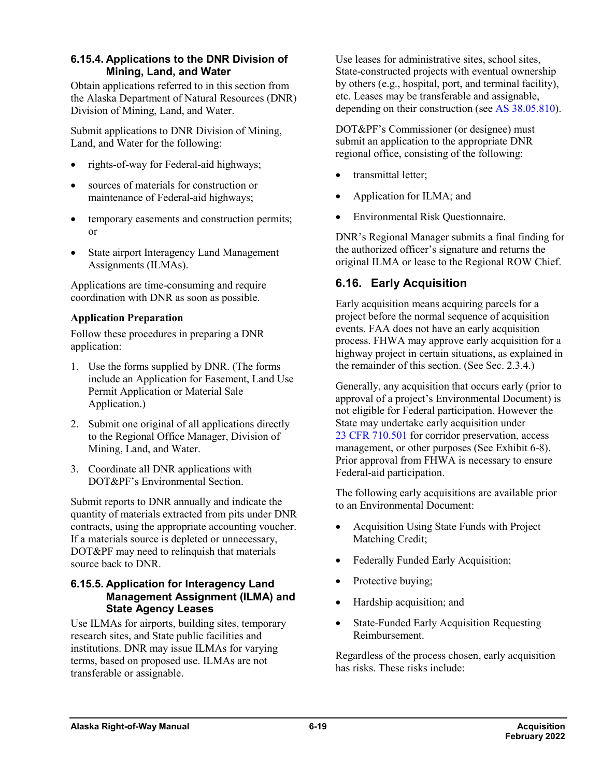### **6.15.4. Applications to the DNR Division of Mining, Land, and Water**

Obtain applications referred to in this section from the Alaska Department of Natural Resources (DNR) Division of Mining, Land, and Water.

Submit applications to DNR Division of Mining, Land, and Water for the following:

- rights-of-way for Federal-aid highways;
- sources of materials for construction or maintenance of Federal-aid highways;
- temporary easements and construction permits; or
- State airport Interagency Land Management Assignments (ILMAs).

Applications are time-consuming and require coordination with DNR as soon as possible.

### **Application Preparation**

Follow these procedures in preparing a DNR application:

- 1. Use the forms supplied by DNR. (The forms include an Application for Easement, Land Use Permit Application or Material Sale Application.)
- 2. Submit one original of all applications directly to the Regional Office Manager, Division of Mining, Land, and Water.
- 3. Coordinate all DNR applications with DOT&PF's Environmental Section.

Submit reports to DNR annually and indicate the quantity of materials extracted from pits under DNR contracts, using the appropriate accounting voucher. If a materials source is depleted or unnecessary, DOT&PF may need to relinquish that materials source back to DNR.

### **6.15.5. Application for Interagency Land Management Assignment (ILMA) and State Agency Leases**

Use ILMAs for airports, building sites, temporary research sites, and State public facilities and institutions. DNR may issue ILMAs for varying terms, based on proposed use. ILMAs are not transferable or assignable.

Use leases for administrative sites, school sites, State-constructed projects with eventual ownership by others (e.g., hospital, port, and terminal facility), etc. Leases may be transferable and assignable, depending on their construction (see AS [38.05.810\)](http://www.akleg.gov/basis/statutes.asp#38.05.810).

DOT&PF's Commissioner (or designee) must submit an application to the appropriate DNR regional office, consisting of the following:

- [transmittal](http://www.dot.state.ak.us/stwddes/dcsrow/urlindex.html#MiscNonDOTPFExhibitForms) letter;
- [Application for ILMA;](http://www.dot.state.ak.us/stwddes/dcsrow/urlindex.html#MiscNonDOTPFExhibitForms) and
- [Environmental Risk Questionnaire.](http://www.dot.state.ak.us/stwddes/dcsrow/urlindex.html#MiscNonDOTPFExhibitForms)

DNR's Regional Manager submits a final finding for the authorized officer's signature and returns the original ILMA or lease to the Regional ROW Chief.

## **6.16. Early Acquisition**

Early acquisition means acquiring parcels for a project before the normal sequence of acquisition events. FAA does not have an early acquisition process. FHWA may approve early acquisition for a highway project in certain situations, as explained in the remainder of this section. (See Sec. 2.3.4.)

Generally, any acquisition that occurs early (prior to approval of a project's Environmental Document) is not eligible for Federal participation. However the State may undertake early acquisition under 23 CFR [710.501](https://www.ecfr.gov/cgi-bin/text-idx?SID=1fad4147cbcad5de02b7b41d78b134f2&mc=true&node=se23.1.710_1501&rgn=div8) for corridor preservation, access management, or other purposes (See Exhibit 6-8). Prior approval from FHWA is necessary to ensure Federal-aid participation.

The following early acquisitions are available prior to an Environmental Document:

- Acquisition Using State Funds with Project Matching Credit;
- Federally Funded Early Acquisition;
- Protective buying;
- Hardship acquisition; and
- State-Funded Early Acquisition Requesting Reimbursement.

Regardless of the process chosen, early acquisition has risks. These risks include: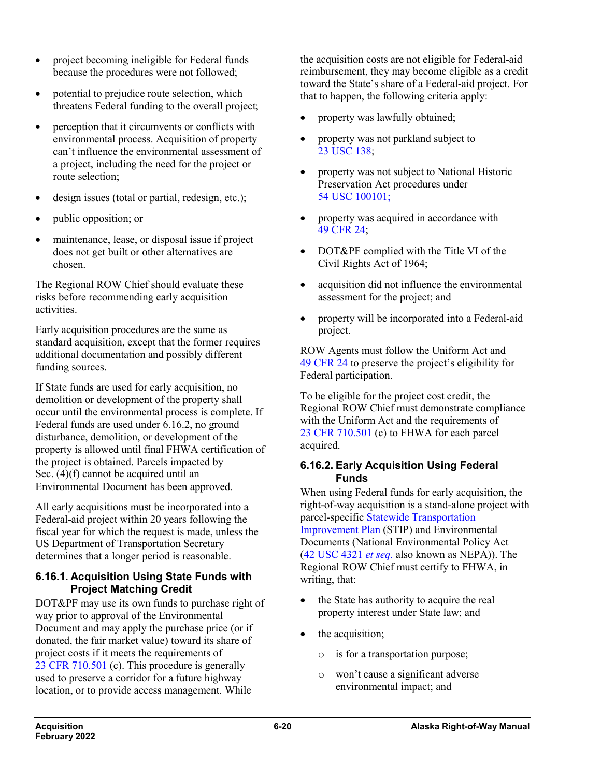- project becoming ineligible for Federal funds because the procedures were not followed;
- potential to prejudice route selection, which threatens Federal funding to the overall project;
- perception that it circumvents or conflicts with environmental process. Acquisition of property can't influence the environmental assessment of a project, including the need for the project or route selection;
- design issues (total or partial, redesign, etc.);
- public opposition; or
- maintenance, lease, or disposal issue if project does not get built or other alternatives are chosen.

The Regional ROW Chief should evaluate these risks before recommending early acquisition activities.

Early acquisition procedures are the same as standard acquisition, except that the former requires additional documentation and possibly different funding sources.

If State funds are used for early acquisition, no demolition or development of the property shall occur until the environmental process is complete. If Federal funds are used under 6.16.2, no ground disturbance, demolition, or development of the property is allowed until final FHWA certification of the project is obtained. Parcels impacted by Sec. (4)(f) cannot be acquired until an Environmental Document has been approved.

All early acquisitions must be incorporated into a Federal-aid project within 20 years following the fiscal year for which the request is made, unless the US Department of Transportation Secretary determines that a longer period is reasonable.

### **6.16.1. Acquisition Using State Funds with Project Matching Credit**

DOT&PF may use its own funds to purchase right of way prior to approval of the Environmental Document and may apply the purchase price (or if donated, the fair market value) toward its share of project costs if it meets the requirements of 23 CFR [710.501](https://www.ecfr.gov/cgi-bin/text-idx?SID=1fad4147cbcad5de02b7b41d78b134f2&mc=true&node=se23.1.710_1501&rgn=div8) (c). This procedure is generally used to preserve a corridor for a future highway location, or to provide access management. While

the acquisition costs are not eligible for Federal-aid reimbursement, they may become eligible as a credit toward the State's share of a Federal-aid project. For that to happen, the following criteria apply:

- property was lawfully obtained;
- property was not parkland subject to 23 [USC](http://uscode.house.gov/view.xhtml?req=(title:23%20section:138%20edition:prelim)%20OR%20(granuleid:USC-prelim-title23-section138)&f=treesort&edition=prelim&num=0&jumpTo=true) 138;
- property was not subject to National Historic Preservation Act procedures under 54 USC [100101;](http://uscode.house.gov/search/criteria.php)
- property was acquired in accordance with 49 [CFR](https://www.ecfr.gov/cgi-bin/retrieveECFR?gp=&SID=ef0cebd3b0b75e730b23dc09a695eaf6&mc=true&n=pt49.1.24&r=PART&ty=HTML) 24;
- DOT&PF complied with the Title VI of the Civil Rights Act of 1964;
- acquisition did not influence the environmental assessment for the project; and
- property will be incorporated into a Federal-aid project.

ROW Agents must follow the Uniform Act and 49 [CFR](https://www.ecfr.gov/cgi-bin/retrieveECFR?gp=&SID=ef0cebd3b0b75e730b23dc09a695eaf6&mc=true&n=pt49.1.24&r=PART&ty=HTML) 24 to preserve the project's eligibility for Federal participation.

To be eligible for the project cost credit, the Regional ROW Chief must demonstrate compliance with the Uniform Act and the requirements of 23 CFR [710.501](https://www.ecfr.gov/cgi-bin/text-idx?SID=1fad4147cbcad5de02b7b41d78b134f2&mc=true&node=se23.1.710_1501&rgn=div8) (c) to FHWA for each parcel acquired.

#### **6.16.2. Early Acquisition Using Federal Funds**

When using Federal funds for early acquisition, the right-of-way acquisition is a stand-alone project with parcel-specific [Statewide Transportation](http://dot.alaska.gov/stwdplng/cip/stip/index.shtml)  [Improvement Plan](http://dot.alaska.gov/stwdplng/cip/stip/index.shtml) (STIP) and Environmental Documents (National Environmental Policy Act (42 USC 4321 *[et seq.](http://uscode.house.gov/view.xhtml?req=(title:42%20section:4321%20edition:prelim)%20OR%20(granuleid:USC-prelim-title42-section4321)&f=treesort&edition=prelim&num=0&jumpTo=true)* also known as NEPA)). The Regional ROW Chief must certify to FHWA, in writing, that:

- the State has authority to acquire the real property interest under State law; and
- the acquisition;
	- o is for a transportation purpose;
	- o won't cause a significant adverse environmental impact; and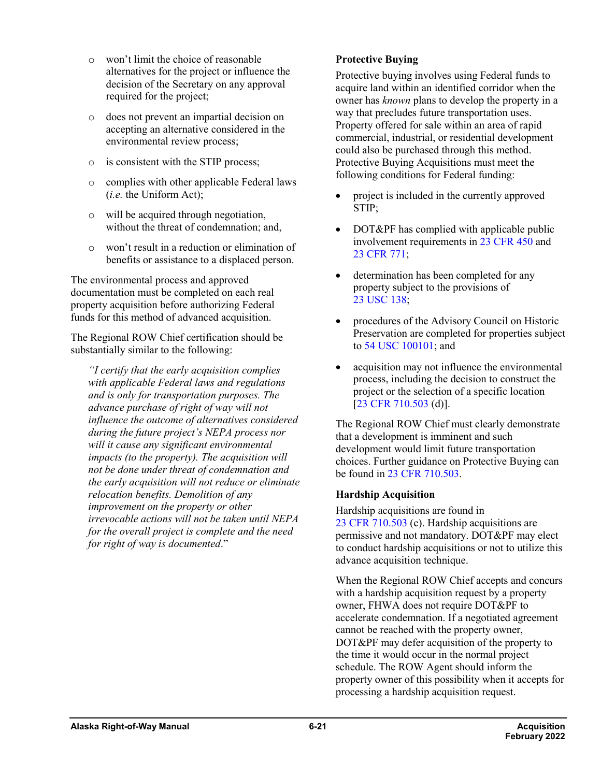- o won't limit the choice of reasonable alternatives for the project or influence the decision of the Secretary on any approval required for the project;
- o does not prevent an impartial decision on accepting an alternative considered in the environmental review process;
- o is consistent with the STIP process;
- o complies with other applicable Federal laws (*i.e.* the Uniform Act);
- o will be acquired through negotiation, without the threat of condemnation; and,
- o won't result in a reduction or elimination of benefits or assistance to a displaced person.

The environmental process and approved documentation must be completed on each real property acquisition before authorizing Federal funds for this method of advanced acquisition.

The Regional ROW Chief certification should be substantially similar to the following:

*"I certify that the early acquisition complies with applicable Federal laws and regulations and is only for transportation purposes. The advance purchase of right of way will not influence the outcome of alternatives considered during the future project's NEPA process nor will it cause any significant environmental impacts (to the property). The acquisition will not be done under threat of condemnation and the early acquisition will not reduce or eliminate relocation benefits. Demolition of any improvement on the property or other irrevocable actions will not be taken until NEPA for the overall project is complete and the need for right of way is documented*."

### **Protective Buying**

Protective buying involves using Federal funds to acquire land within an identified corridor when the owner has *known* plans to develop the property in a way that precludes future transportation uses. Property offered for sale within an area of rapid commercial, industrial, or residential development could also be purchased through this method. Protective Buying Acquisitions must meet the following conditions for Federal funding:

- project is included in the currently approved STIP;
- DOT&PF has complied with applicable public involvement requirements in 23 [CFR](https://www.ecfr.gov/cgi-bin/text-idx?SID=5565dbafec683fd39790422b2163a10b&mc=true&node=pt23.1.450&rgn=div5) 450 and 23 [CFR](https://www.ecfr.gov/cgi-bin/text-idx?SID=5565dbafec683fd39790422b2163a10b&mc=true&node=pt23.1.771&rgn=div5) 771;
- determination has been completed for any property subject to the provisions of 23 [USC](http://uscode.house.gov/view.xhtml?req=(title:23%20section:138%20edition:prelim)%20OR%20(granuleid:USC-prelim-title23-section138)&f=treesort&edition=prelim&num=0&jumpTo=true) 138;
- procedures of the Advisory Council on Historic Preservation are completed for properties subject to 54 USC [100101;](http://uscode.house.gov/view.xhtml?req=54+USC+300101&f=treesort&fq=true&num=25&hl=true&edition=prelim&granuleId=USC-prelim-title54-section300101) and
- acquisition may not influence the environmental process, including the decision to construct the project or the selection of a specific location [23 CFR [710.503](https://www.ecfr.gov/cgi-bin/text-idx?SID=1fad4147cbcad5de02b7b41d78b134f2&mc=true&node=se23.1.710_1503&rgn=div8) (d)].

The Regional ROW Chief must clearly demonstrate that a development is imminent and such development would limit future transportation choices. Further guidance on Protective Buying can be found in 23 CFR [710.503.](https://www.ecfr.gov/cgi-bin/text-idx?SID=1fad4147cbcad5de02b7b41d78b134f2&mc=true&node=se23.1.710_1503&rgn=div8)

### **Hardship Acquisition**

Hardship acquisitions are found in 23 CFR [710.503](https://www.ecfr.gov/cgi-bin/text-idx?SID=1fad4147cbcad5de02b7b41d78b134f2&mc=true&node=se23.1.710_1503&rgn=div8) (c). Hardship acquisitions are permissive and not mandatory. DOT&PF may elect to conduct hardship acquisitions or not to utilize this advance acquisition technique.

When the Regional ROW Chief accepts and concurs with a hardship acquisition request by a property owner, FHWA does not require DOT&PF to accelerate condemnation. If a negotiated agreement cannot be reached with the property owner, DOT&PF may defer acquisition of the property to the time it would occur in the normal project schedule. The ROW Agent should inform the property owner of this possibility when it accepts for processing a hardship acquisition request.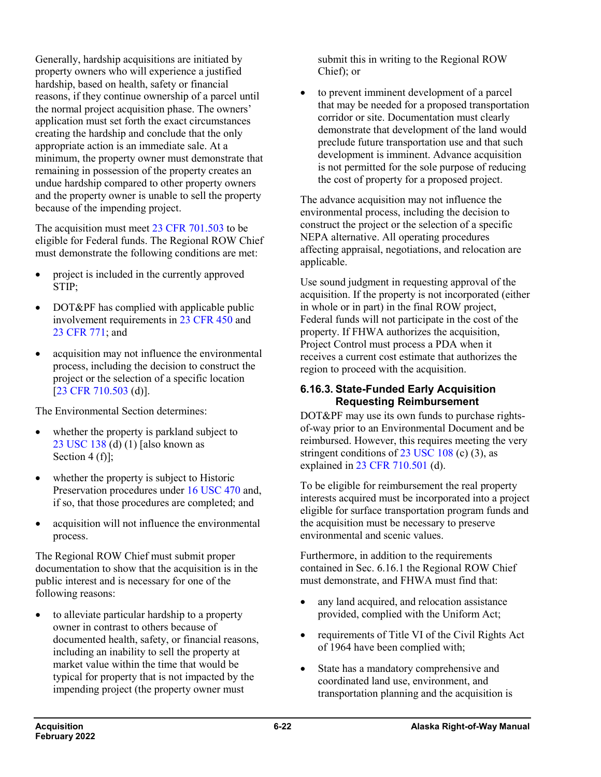Generally, hardship acquisitions are initiated by property owners who will experience a justified hardship, based on health, safety or financial reasons, if they continue ownership of a parcel until the normal project acquisition phase. The owners' application must set forth the exact circumstances creating the hardship and conclude that the only appropriate action is an immediate sale. At a minimum, the property owner must demonstrate that remaining in possession of the property creates an undue hardship compared to other property owners and the property owner is unable to sell the property because of the impending project.

The acquisition must meet 23 CFR [701.503](https://www.ecfr.gov/cgi-bin/text-idx?SID=1fad4147cbcad5de02b7b41d78b134f2&mc=true&node=se23.1.710_1503&rgn=div8) to be eligible for Federal funds. The Regional ROW Chief must demonstrate the following conditions are met:

- project is included in the currently approved STIP;
- DOT&PF has complied with applicable public involvement requirements in 23 [CFR](https://www.ecfr.gov/cgi-bin/text-idx?SID=5565dbafec683fd39790422b2163a10b&mc=true&node=pt23.1.450&rgn=div5) 450 and 23 [CFR](https://www.ecfr.gov/cgi-bin/text-idx?SID=5565dbafec683fd39790422b2163a10b&mc=true&node=pt23.1.771&rgn=div5) 771; and
- acquisition may not influence the environmental process, including the decision to construct the project or the selection of a specific location [23 CFR [710.503](https://www.ecfr.gov/cgi-bin/text-idx?SID=1fad4147cbcad5de02b7b41d78b134f2&mc=true&node=se23.1.710_1503&rgn=div8) (d)].

The Environmental Section determines:

- whether the property is parkland subject to 23 [USC](http://uscode.house.gov/view.xhtml?req=(title:23%20section:138%20edition:prelim)%20OR%20(granuleid:USC-prelim-title23-section138)&f=treesort&edition=prelim&num=0&jumpTo=true) 138 (d) (1) [also known as Section 4 (f)];
- whether the property is subject to Historic Preservation procedures under 16 [USC](http://uscode.house.gov/view.xhtml?req=(title:16%20section:470%20edition:prelim)%20OR%20(granuleid:USC-prelim-title16-section470)&f=treesort&edition=prelim&num=0&jumpTo=true) 470 and, if so, that those procedures are completed; and
- acquisition will not influence the environmental process.

The Regional ROW Chief must submit proper documentation to show that the acquisition is in the public interest and is necessary for one of the following reasons:

• to alleviate particular hardship to a property owner in contrast to others because of documented health, safety, or financial reasons, including an inability to sell the property at market value within the time that would be typical for property that is not impacted by the impending project (the property owner must

submit this in writing to the Regional ROW Chief); or

• to prevent imminent development of a parcel that may be needed for a proposed transportation corridor or site. Documentation must clearly demonstrate that development of the land would preclude future transportation use and that such development is imminent. Advance acquisition is not permitted for the sole purpose of reducing the cost of property for a proposed project.

The advance acquisition may not influence the environmental process, including the decision to construct the project or the selection of a specific NEPA alternative. All operating procedures affecting appraisal, negotiations, and relocation are applicable.

Use sound judgment in requesting approval of the acquisition. If the property is not incorporated (either in whole or in part) in the final ROW project, Federal funds will not participate in the cost of the property. If FHWA authorizes the acquisition, Project Control must process a PDA when it receives a current cost estimate that authorizes the region to proceed with the acquisition.

### **6.16.3. State-Funded Early Acquisition Requesting Reimbursement**

DOT&PF may use its own funds to purchase rightsof-way prior to an Environmental Document and be reimbursed. However, this requires meeting the very stringent conditions of  $23 \text{ USC } 108 \text{ (c)} (3)$  $23 \text{ USC } 108 \text{ (c)} (3)$  $23 \text{ USC } 108 \text{ (c)} (3)$ , as explained in 23 CFR [710.501](https://www.ecfr.gov/cgi-bin/text-idx?SID=1fad4147cbcad5de02b7b41d78b134f2&mc=true&node=se23.1.710_1501&rgn=div8) (d).

To be eligible for reimbursement the real property interests acquired must be incorporated into a project eligible for surface transportation program funds and the acquisition must be necessary to preserve environmental and scenic values.

Furthermore, in addition to the requirements contained in Sec. 6.16.1 the Regional ROW Chief must demonstrate, and FHWA must find that:

- any land acquired, and relocation assistance provided, complied with the Uniform Act;
- requirements of Title VI of the Civil Rights Act of 1964 have been complied with;
- State has a mandatory comprehensive and coordinated land use, environment, and transportation planning and the acquisition is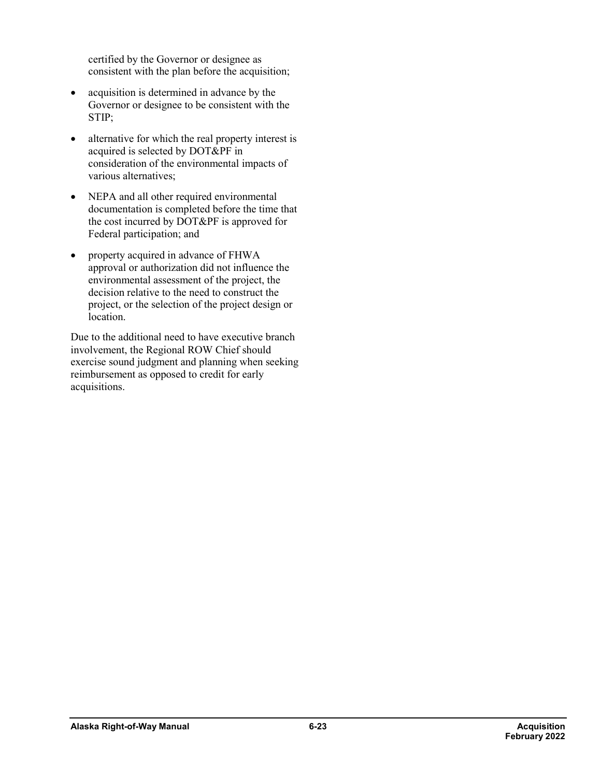certified by the Governor or designee as consistent with the plan before the acquisition;

- acquisition is determined in advance by the Governor or designee to be consistent with the STIP;
- alternative for which the real property interest is acquired is selected by DOT&PF in consideration of the environmental impacts of various alternatives;
- NEPA and all other required environmental documentation is completed before the time that the cost incurred by DOT&PF is approved for Federal participation; and
- property acquired in advance of FHWA approval or authorization did not influence the environmental assessment of the project, the decision relative to the need to construct the project, or the selection of the project design or location.

Due to the additional need to have executive branch involvement, the Regional ROW Chief should exercise sound judgment and planning when seeking reimbursement as opposed to credit for early acquisitions.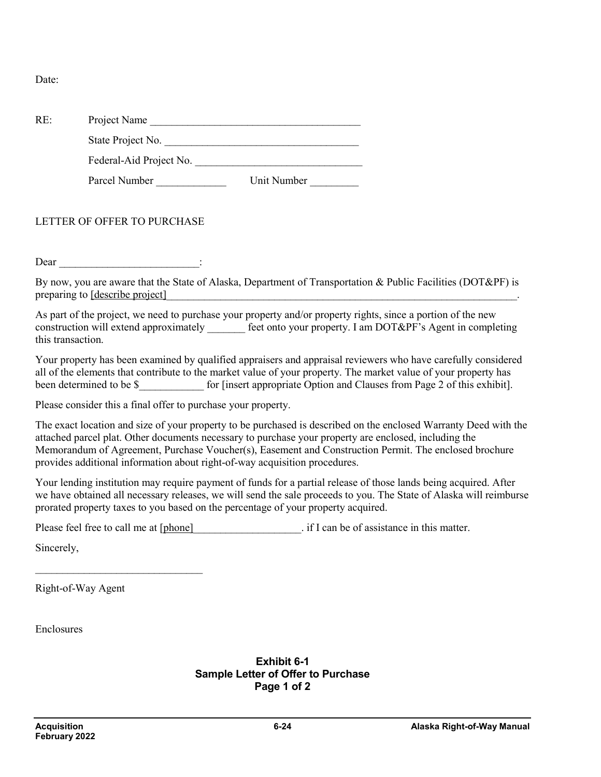Date:

| Project Name                |                                                                                                                                                                                                                                                                                                                                                                                                                                                    |
|-----------------------------|----------------------------------------------------------------------------------------------------------------------------------------------------------------------------------------------------------------------------------------------------------------------------------------------------------------------------------------------------------------------------------------------------------------------------------------------------|
|                             |                                                                                                                                                                                                                                                                                                                                                                                                                                                    |
|                             |                                                                                                                                                                                                                                                                                                                                                                                                                                                    |
| Parcel Number               |                                                                                                                                                                                                                                                                                                                                                                                                                                                    |
| LETTER OF OFFER TO PURCHASE |                                                                                                                                                                                                                                                                                                                                                                                                                                                    |
|                             |                                                                                                                                                                                                                                                                                                                                                                                                                                                    |
| this transaction.           |                                                                                                                                                                                                                                                                                                                                                                                                                                                    |
|                             | State Project No.<br>Unit Number<br>$\text{Dear}$ $\qquad \qquad$ :<br>By now, you are aware that the State of Alaska, Department of Transportation & Public Facilities (DOT&PF) is<br>preparing to <u>[describe project]</u><br>As part of the project, we need to purchase your property and/or property rights, since a portion of the new<br>construction will extend approximately feet onto your property. I am DOT&PF's Agent in completing |

Your property has been examined by qualified appraisers and appraisal reviewers who have carefully considered all of the elements that contribute to the market value of your property. The market value of your property has been determined to be \$ for [insert appropriate Option and Clauses from Page 2 of this exhibit].

Please consider this a final offer to purchase your property.

The exact location and size of your property to be purchased is described on the enclosed Warranty Deed with the attached parcel plat. Other documents necessary to purchase your property are enclosed, including the Memorandum of Agreement, Purchase Voucher(s), Easement and Construction Permit. The enclosed brochure provides additional information about right-of-way acquisition procedures.

Your lending institution may require payment of funds for a partial release of those lands being acquired. After we have obtained all necessary releases, we will send the sale proceeds to you. The State of Alaska will reimburse prorated property taxes to you based on the percentage of your property acquired.

Please feel free to call me at [phone]  $\cdot$  if I can be of assistance in this matter.

Sincerely,

Right-of-Way Agent

 $\mathcal{L}_\text{max}$  , where  $\mathcal{L}_\text{max}$  , we have the set of  $\mathcal{L}_\text{max}$ 

Enclosures

**Exhibit 6-1 Sample Letter of Offer to Purchase Page 1 of 2**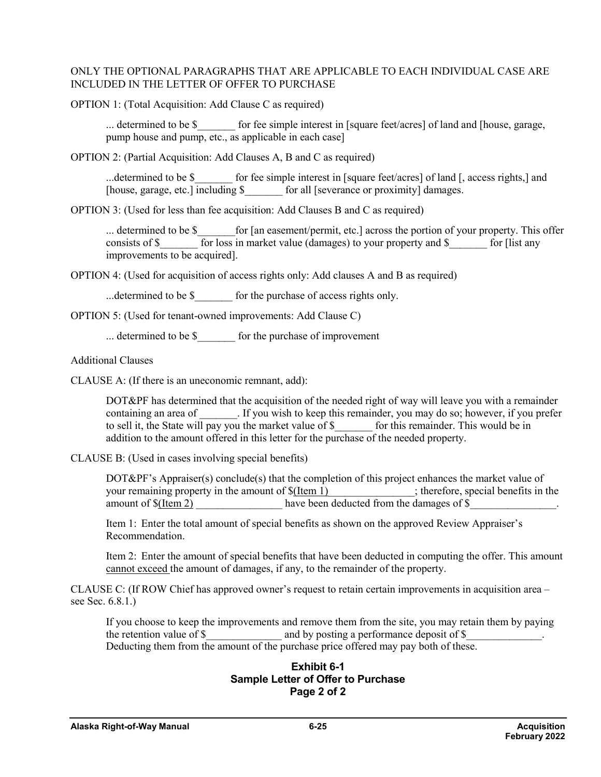#### ONLY THE OPTIONAL PARAGRAPHS THAT ARE APPLICABLE TO EACH INDIVIDUAL CASE ARE INCLUDED IN THE LETTER OF OFFER TO PURCHASE

OPTION 1: (Total Acquisition: Add Clause C as required)

... determined to be \$ for fee simple interest in [square feet/acres] of land and [house, garage, pump house and pump, etc., as applicable in each case]

OPTION 2: (Partial Acquisition: Add Clauses A, B and C as required)

...determined to be \$ for fee simple interest in [square feet/acres] of land [, access rights,] and [house, garage, etc.] including \$  $\qquad$  for all [severance or proximity] damages.

OPTION 3: (Used for less than fee acquisition: Add Clauses B and C as required)

... determined to be \$\_\_\_\_\_\_\_\_for [an easement/permit, etc.] across the portion of your property. This offer consists of \$\_\_\_\_\_\_\_ for loss in market value (damages) to your property and \$\_\_\_\_\_ for [list any improvements to be acquired].

OPTION 4: (Used for acquisition of access rights only: Add clauses A and B as required)

...determined to be \$ for the purchase of access rights only.

OPTION 5: (Used for tenant-owned improvements: Add Clause C)

... determined to be  $\$\$ for the purchase of improvement

Additional Clauses

CLAUSE A: (If there is an uneconomic remnant, add):

DOT&PF has determined that the acquisition of the needed right of way will leave you with a remainder containing an area of The Supersection of the seep this remainder, you may do so; however, if you prefer to sell it, the State will pay you the market value of \$\_\_\_\_\_\_\_ for this remainder. This would be in addition to the amount offered in this letter for the purchase of the needed property.

CLAUSE B: (Used in cases involving special benefits)

 $DOT\&PF's Approxation$  conclude(s) that the completion of this project enhances the market value of your remaining property in the amount of  $f(\underline{Item 1})$  ; therefore, special benefits in 1  $\frac{1}{\sqrt{1-\frac{1}{\sqrt{1-\frac{1}{\sqrt{1-\frac{1}{\sqrt{1-\frac{1}{\sqrt{1-\frac{1}{\sqrt{1-\frac{1}{\sqrt{1-\frac{1}{\sqrt{1-\frac{1}{\sqrt{1-\frac{1}{\sqrt{1-\frac{1}{\sqrt{1-\frac{1}{\sqrt{1-\frac{1}{\sqrt{1-\frac{1}{\sqrt{1-\frac{1}{\sqrt{1-\frac{1}{\sqrt{1-\frac{1}{\sqrt{1-\frac{1}{\sqrt{1-\frac{1}{\sqrt{1-\frac{1}{\sqrt{1-\frac{1}{\sqrt{1-\frac{1}{\sqrt{1-\frac{1}{\sqrt{1-\frac{1}{\sqrt{1-\frac{1$ amount of  $\S(\text{Item 2})$  have been deducted from the damages of  $\S$ 

Item 1: Enter the total amount of special benefits as shown on the approved Review Appraiser's Recommendation.

Item 2: Enter the amount of special benefits that have been deducted in computing the offer. This amount cannot exceed the amount of damages, if any, to the remainder of the property.

CLAUSE C: (If ROW Chief has approved owner's request to retain certain improvements in acquisition area – see Sec. 6.8.1.)

If you choose to keep the improvements and remove them from the site, you may retain them by paying the retention value of \$\_\_\_\_\_\_\_\_\_\_\_\_\_\_ and by posting a performance deposit of \$\_\_\_\_\_\_\_\_\_\_\_\_\_\_. Deducting them from the amount of the purchase price offered may pay both of these.

#### **Exhibit 6-1 Sample Letter of Offer to Purchase Page 2 of 2**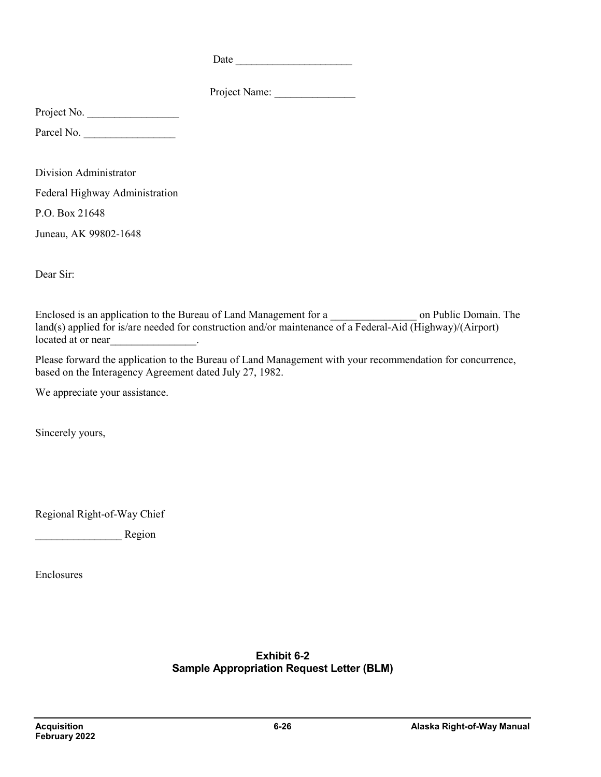Date \_\_\_\_\_\_\_\_\_\_\_\_\_\_\_\_\_\_\_\_\_\_

Project Name:

Project No.

Parcel No.

Division Administrator Federal Highway Administration

P.O. Box 21648

Juneau, AK 99802-1648

Dear Sir:

Enclosed is an application to the Bureau of Land Management for a \_\_\_\_\_\_\_\_\_\_\_\_\_\_\_\_\_\_\_\_ on Public Domain. The land(s) applied for is/are needed for construction and/or maintenance of a Federal-Aid (Highway)/(Airport) located at or near

Please forward the application to the Bureau of Land Management with your recommendation for concurrence, based on the Interagency Agreement dated July 27, 1982.

We appreciate your assistance.

Sincerely yours,

Regional Right-of-Way Chief

Region

Enclosures

**Exhibit 6-2 Sample Appropriation Request Letter (BLM)**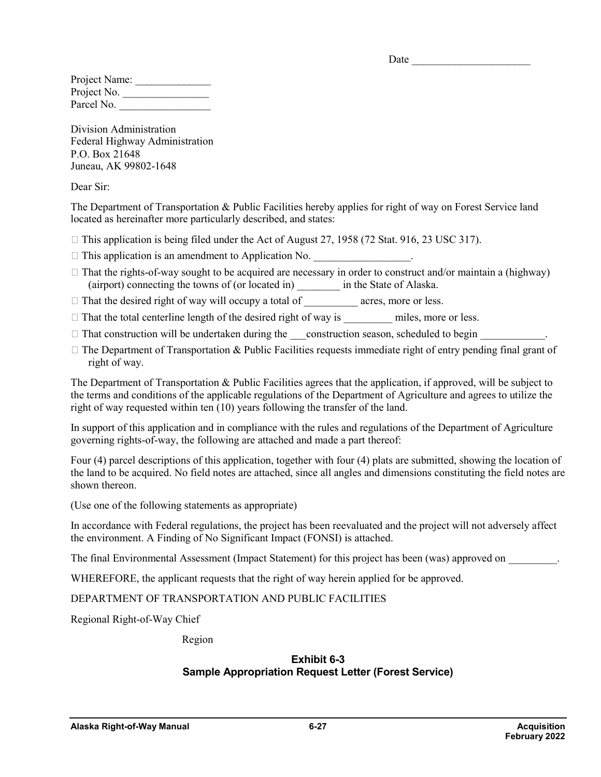| Date |
|------|
|------|

| Project Name: |  |
|---------------|--|
| Project No.   |  |
| Parcel No.    |  |

Division Administration Federal Highway Administration P.O. Box 21648 Juneau, AK 99802-1648

Dear Sir:

The Department of Transportation & Public Facilities hereby applies for right of way on Forest Service land located as hereinafter more particularly described, and states:

- $\Box$  This application is being filed under the Act of August 27, 1958 (72 Stat. 916, 23 USC 317).
- $\Box$  This application is an amendment to Application No.
- $\Box$  That the rights-of-way sought to be acquired are necessary in order to construct and/or maintain a (highway) (airport) connecting the towns of (or located in) \_\_\_\_\_\_\_\_ in the State of Alaska.
- $\Box$  That the desired right of way will occupy a total of  $\Box$  acres, more or less.
- $\Box$  That the total centerline length of the desired right of way is  $\Box$  miles, more or less.
- $\Box$  That construction will be undertaken during the construction season, scheduled to begin
- $\Box$  The Department of Transportation & Public Facilities requests immediate right of entry pending final grant of right of way.

The Department of Transportation & Public Facilities agrees that the application, if approved, will be subject to the terms and conditions of the applicable regulations of the Department of Agriculture and agrees to utilize the right of way requested within ten (10) years following the transfer of the land.

In support of this application and in compliance with the rules and regulations of the Department of Agriculture governing rights-of-way, the following are attached and made a part thereof:

Four (4) parcel descriptions of this application, together with four (4) plats are submitted, showing the location of the land to be acquired. No field notes are attached, since all angles and dimensions constituting the field notes are shown thereon.

(Use one of the following statements as appropriate)

In accordance with Federal regulations, the project has been reevaluated and the project will not adversely affect the environment. A Finding of No Significant Impact (FONSI) is attached.

The final Environmental Assessment (Impact Statement) for this project has been (was) approved on  $\blacksquare$ .

WHEREFORE, the applicant requests that the right of way herein applied for be approved.

DEPARTMENT OF TRANSPORTATION AND PUBLIC FACILITIES

Regional Right-of-Way Chief

Region

#### **Exhibit 6-3 Sample Appropriation Request Letter (Forest Service)**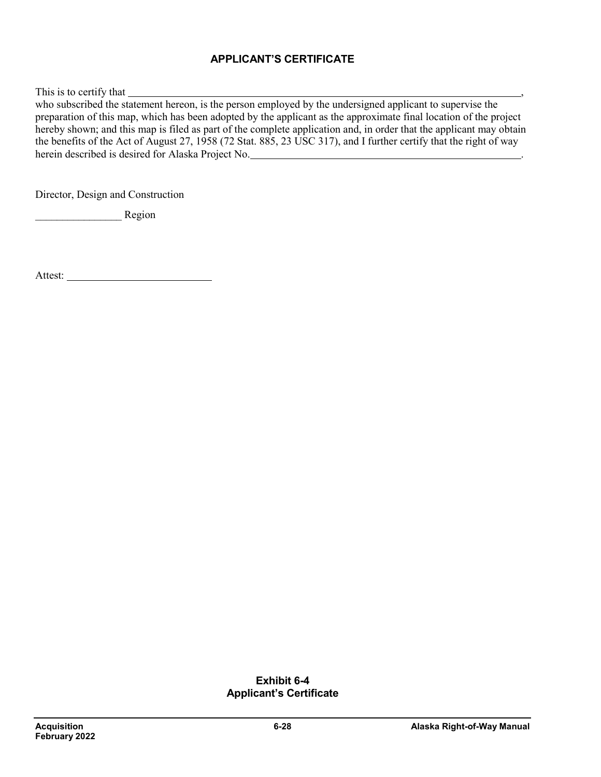### **APPLICANT'S CERTIFICATE**

This is to certify that ,

who subscribed the statement hereon, is the person employed by the undersigned applicant to supervise the preparation of this map, which has been adopted by the applicant as the approximate final location of the project hereby shown; and this map is filed as part of the complete application and, in order that the applicant may obtain the benefits of the Act of August 27, 1958 (72 Stat. 885, 23 USC 317), and I further certify that the right of way herein described is desired for Alaska Project No. .

Director, Design and Construction

\_\_\_\_\_\_\_\_\_\_\_\_\_\_\_\_ Region

Attest:

#### **Exhibit 6-4 Applicant's Certificate**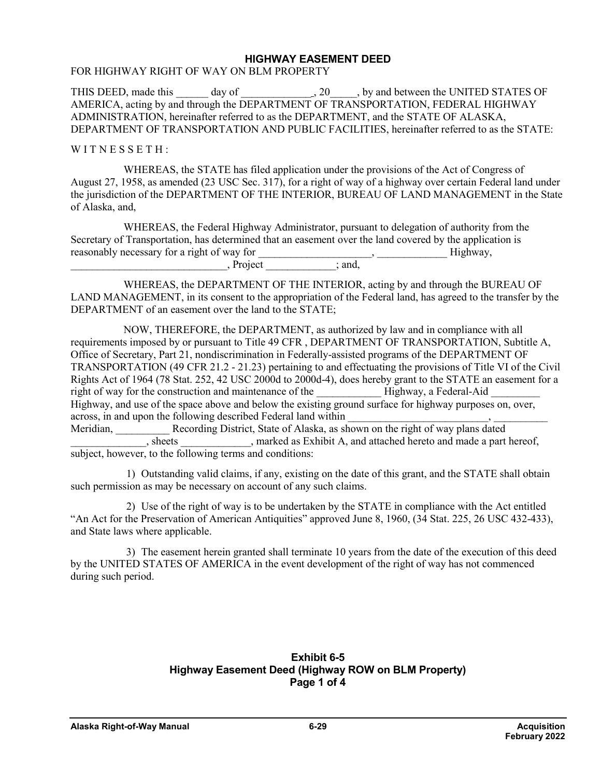#### **HIGHWAY EASEMENT DEED**

#### FOR HIGHWAY RIGHT OF WAY ON BLM PROPERTY

THIS DEED, made this day of  $\qquad \qquad$ , 20  $\qquad$ , by and between the UNITED STATES OF AMERICA, acting by and through the DEPARTMENT OF TRANSPORTATION, FEDERAL HIGHWAY ADMINISTRATION, hereinafter referred to as the DEPARTMENT, and the STATE OF ALASKA, DEPARTMENT OF TRANSPORTATION AND PUBLIC FACILITIES, hereinafter referred to as the STATE:

#### WITNESSETH:

WHEREAS, the STATE has filed application under the provisions of the Act of Congress of August 27, 1958, as amended (23 USC Sec. 317), for a right of way of a highway over certain Federal land under the jurisdiction of the DEPARTMENT OF THE INTERIOR, BUREAU OF LAND MANAGEMENT in the State of Alaska, and,

WHEREAS, the Federal Highway Administrator, pursuant to delegation of authority from the Secretary of Transportation, has determined that an easement over the land covered by the application is reasonably necessary for a right of way for \_\_\_\_\_\_\_\_\_\_\_\_\_\_\_\_\_\_\_\_\_, \_\_\_\_\_\_\_\_\_\_\_\_\_ Highway,  $P$ roject  $\qquad \qquad$ ; and,

WHEREAS, the DEPARTMENT OF THE INTERIOR, acting by and through the BUREAU OF LAND MANAGEMENT, in its consent to the appropriation of the Federal land, has agreed to the transfer by the DEPARTMENT of an easement over the land to the STATE;

NOW, THEREFORE, the DEPARTMENT, as authorized by law and in compliance with all requirements imposed by or pursuant to Title 49 CFR , DEPARTMENT OF TRANSPORTATION, Subtitle A, Office of Secretary, Part 21, nondiscrimination in Federally-assisted programs of the DEPARTMENT OF TRANSPORTATION (49 CFR 21.2 - 21.23) pertaining to and effectuating the provisions of Title VI of the Civil Rights Act of 1964 (78 Stat. 252, 42 USC 2000d to 2000d-4), does hereby grant to the STATE an easement for a right of way for the construction and maintenance of the **Highway**, a Federal-Aid Highway, and use of the space above and below the existing ground surface for highway purposes on, over, across, in and upon the following described Federal land within Meridian, Recording District, State of Alaska, as shown on the right of way plans dated<br>
Recording District, State of Alaska, as shown on the right of way plans dated<br>
marked as Exhibit A, and attached hereto and made a pa \_\_\_\_\_\_\_\_, marked as Exhibit A, and attached hereto and made a part hereof, subject, however, to the following terms and conditions:

1) Outstanding valid claims, if any, existing on the date of this grant, and the STATE shall obtain such permission as may be necessary on account of any such claims.

2) Use of the right of way is to be undertaken by the STATE in compliance with the Act entitled "An Act for the Preservation of American Antiquities" approved June 8, 1960, (34 Stat. 225, 26 USC 432-433), and State laws where applicable.

3) The easement herein granted shall terminate 10 years from the date of the execution of this deed by the UNITED STATES OF AMERICA in the event development of the right of way has not commenced during such period.

#### **Exhibit 6-5 Highway Easement Deed (Highway ROW on BLM Property) Page 1 of 4**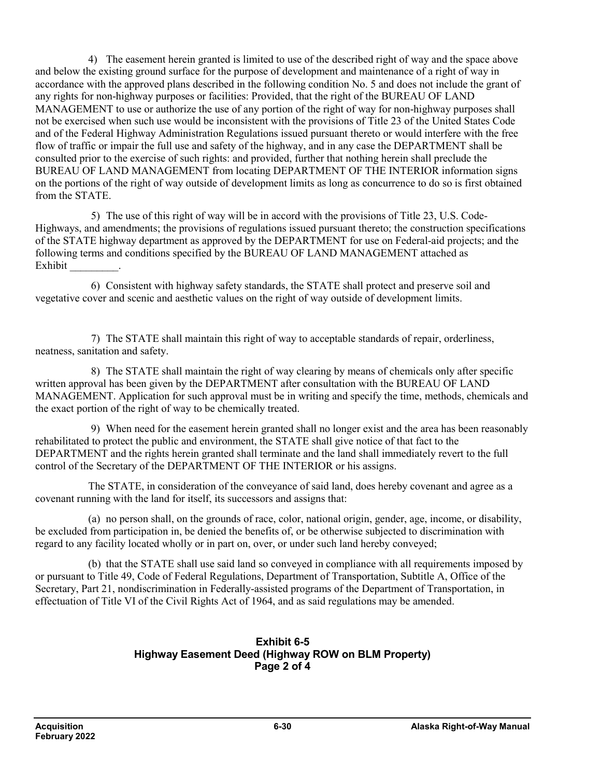4) The easement herein granted is limited to use of the described right of way and the space above and below the existing ground surface for the purpose of development and maintenance of a right of way in accordance with the approved plans described in the following condition No. 5 and does not include the grant of any rights for non-highway purposes or facilities: Provided, that the right of the BUREAU OF LAND MANAGEMENT to use or authorize the use of any portion of the right of way for non-highway purposes shall not be exercised when such use would be inconsistent with the provisions of Title 23 of the United States Code and of the Federal Highway Administration Regulations issued pursuant thereto or would interfere with the free flow of traffic or impair the full use and safety of the highway, and in any case the DEPARTMENT shall be consulted prior to the exercise of such rights: and provided, further that nothing herein shall preclude the BUREAU OF LAND MANAGEMENT from locating DEPARTMENT OF THE INTERIOR information signs on the portions of the right of way outside of development limits as long as concurrence to do so is first obtained from the STATE.

5) The use of this right of way will be in accord with the provisions of Title 23, U.S. Code-Highways, and amendments; the provisions of regulations issued pursuant thereto; the construction specifications of the STATE highway department as approved by the DEPARTMENT for use on Federal-aid projects; and the following terms and conditions specified by the BUREAU OF LAND MANAGEMENT attached as Exhibit \_\_\_\_\_\_\_\_\_.

6) Consistent with highway safety standards, the STATE shall protect and preserve soil and vegetative cover and scenic and aesthetic values on the right of way outside of development limits.

7) The STATE shall maintain this right of way to acceptable standards of repair, orderliness, neatness, sanitation and safety.

8) The STATE shall maintain the right of way clearing by means of chemicals only after specific written approval has been given by the DEPARTMENT after consultation with the BUREAU OF LAND MANAGEMENT. Application for such approval must be in writing and specify the time, methods, chemicals and the exact portion of the right of way to be chemically treated.

9) When need for the easement herein granted shall no longer exist and the area has been reasonably rehabilitated to protect the public and environment, the STATE shall give notice of that fact to the DEPARTMENT and the rights herein granted shall terminate and the land shall immediately revert to the full control of the Secretary of the DEPARTMENT OF THE INTERIOR or his assigns.

The STATE, in consideration of the conveyance of said land, does hereby covenant and agree as a covenant running with the land for itself, its successors and assigns that:

(a) no person shall, on the grounds of race, color, national origin, gender, age, income, or disability, be excluded from participation in, be denied the benefits of, or be otherwise subjected to discrimination with regard to any facility located wholly or in part on, over, or under such land hereby conveyed;

(b) that the STATE shall use said land so conveyed in compliance with all requirements imposed by or pursuant to Title 49, Code of Federal Regulations, Department of Transportation, Subtitle A, Office of the Secretary, Part 21, nondiscrimination in Federally-assisted programs of the Department of Transportation, in effectuation of Title VI of the Civil Rights Act of 1964, and as said regulations may be amended.

#### **Exhibit 6-5 Highway Easement Deed (Highway ROW on BLM Property) Page 2 of 4**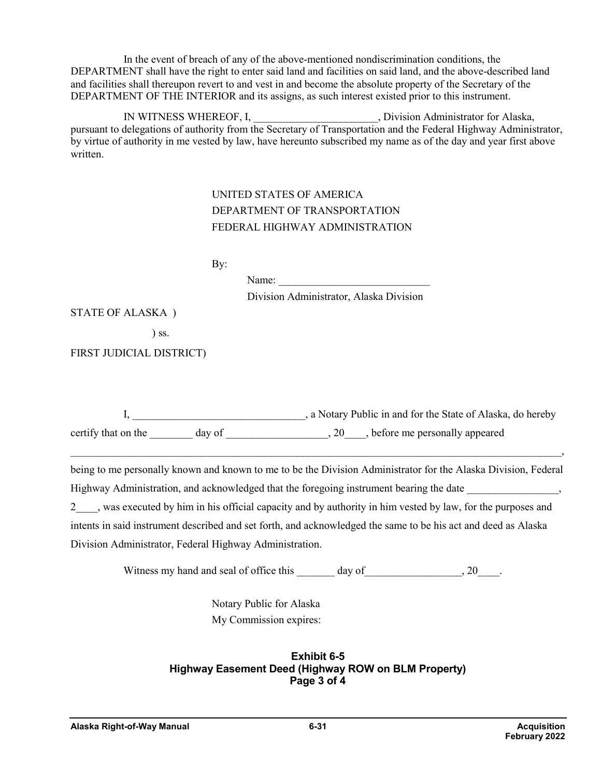In the event of breach of any of the above-mentioned nondiscrimination conditions, the DEPARTMENT shall have the right to enter said land and facilities on said land, and the above-described land and facilities shall thereupon revert to and vest in and become the absolute property of the Secretary of the DEPARTMENT OF THE INTERIOR and its assigns, as such interest existed prior to this instrument.

IN WITNESS WHEREOF, I, https://www.phythology.com/settlemail/settlemail/settlemail/settlemail/settlemail/settl pursuant to delegations of authority from the Secretary of Transportation and the Federal Highway Administrator, by virtue of authority in me vested by law, have hereunto subscribed my name as of the day and year first above written.

## UNITED STATES OF AMERICA DEPARTMENT OF TRANSPORTATION FEDERAL HIGHWAY ADMINISTRATION

By:

Name:

Division Administrator, Alaska Division

STATE OF ALASKA )

) ss.

FIRST JUDICIAL DISTRICT)

I, \_\_\_\_\_\_\_\_\_\_\_\_\_\_\_\_\_\_\_\_\_\_\_\_\_\_\_\_\_\_\_\_, a Notary Public in and for the State of Alaska, do hereby certify that on the day of  $\qquad \qquad$  20  $\qquad$ , before me personally appeared

being to me personally known and known to me to be the Division Administrator for the Alaska Division, Federal Highway Administration, and acknowledged that the foregoing instrument bearing the date \_\_\_\_\_\_\_\_\_\_\_\_\_\_\_\_\_,

 $\mathcal{L}_\mathcal{L} = \{ \mathcal{L}_\mathcal{L} = \{ \mathcal{L}_\mathcal{L} = \{ \mathcal{L}_\mathcal{L} = \{ \mathcal{L}_\mathcal{L} = \{ \mathcal{L}_\mathcal{L} = \{ \mathcal{L}_\mathcal{L} = \{ \mathcal{L}_\mathcal{L} = \{ \mathcal{L}_\mathcal{L} = \{ \mathcal{L}_\mathcal{L} = \{ \mathcal{L}_\mathcal{L} = \{ \mathcal{L}_\mathcal{L} = \{ \mathcal{L}_\mathcal{L} = \{ \mathcal{L}_\mathcal{L} = \{ \mathcal{L}_\mathcal{$ 

2\_\_\_\_, was executed by him in his official capacity and by authority in him vested by law, for the purposes and intents in said instrument described and set forth, and acknowledged the same to be his act and deed as Alaska Division Administrator, Federal Highway Administration.

Witness my hand and seal of office this day of the case of  $\alpha$ .

Notary Public for Alaska My Commission expires:

### **Exhibit 6-5 Highway Easement Deed (Highway ROW on BLM Property) Page 3 of 4**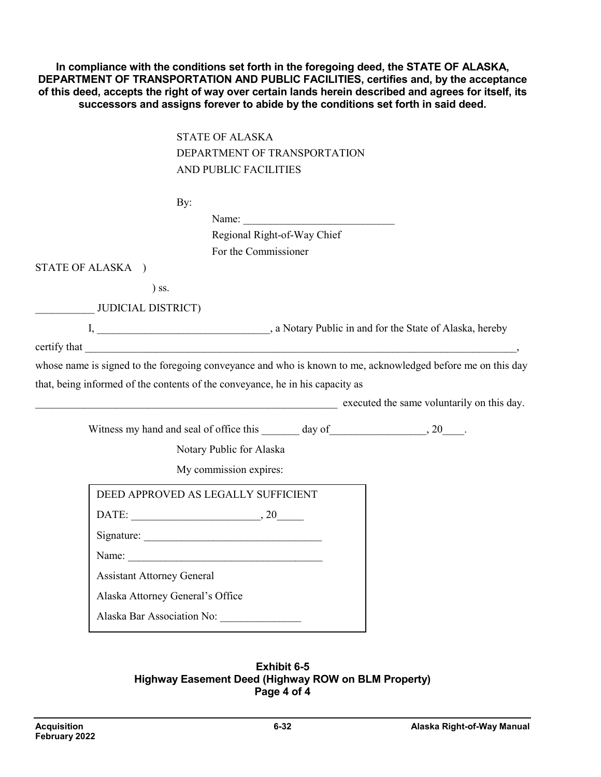**In compliance with the conditions set forth in the foregoing deed, the STATE OF ALASKA, DEPARTMENT OF TRANSPORTATION AND PUBLIC FACILITIES, certifies and, by the acceptance of this deed, accepts the right of way over certain lands herein described and agrees for itself, its successors and assigns forever to abide by the conditions set forth in said deed.**

> STATE OF ALASKA DEPARTMENT OF TRANSPORTATION AND PUBLIC FACILITIES

|                                   | By:                                                                                                                                                                                                                            |                                                                                                             |
|-----------------------------------|--------------------------------------------------------------------------------------------------------------------------------------------------------------------------------------------------------------------------------|-------------------------------------------------------------------------------------------------------------|
|                                   | Name:                                                                                                                                                                                                                          |                                                                                                             |
|                                   | Regional Right-of-Way Chief                                                                                                                                                                                                    |                                                                                                             |
|                                   | For the Commissioner                                                                                                                                                                                                           |                                                                                                             |
| STATE OF ALASKA )                 |                                                                                                                                                                                                                                |                                                                                                             |
| $)$ ss.                           |                                                                                                                                                                                                                                |                                                                                                             |
| JUDICIAL DISTRICT)                |                                                                                                                                                                                                                                |                                                                                                             |
|                                   |                                                                                                                                                                                                                                |                                                                                                             |
|                                   |                                                                                                                                                                                                                                |                                                                                                             |
|                                   |                                                                                                                                                                                                                                | whose name is signed to the foregoing conveyance and who is known to me, acknowledged before me on this day |
|                                   |                                                                                                                                                                                                                                |                                                                                                             |
|                                   | that, being informed of the contents of the conveyance, he in his capacity as                                                                                                                                                  |                                                                                                             |
|                                   |                                                                                                                                                                                                                                | executed the same voluntarily on this day.                                                                  |
|                                   |                                                                                                                                                                                                                                |                                                                                                             |
|                                   | Witness my hand and seal of office this day of 30 contracts and seal of office this day of 30 contracts with the seal of office this day of 30 contracts with the seal of office this day of 30 contracts with the seal of off |                                                                                                             |
|                                   | Notary Public for Alaska                                                                                                                                                                                                       |                                                                                                             |
|                                   | My commission expires:                                                                                                                                                                                                         |                                                                                                             |
|                                   | DEED APPROVED AS LEGALLY SUFFICIENT                                                                                                                                                                                            |                                                                                                             |
|                                   | DATE: $\qquad \qquad .20$                                                                                                                                                                                                      |                                                                                                             |
|                                   |                                                                                                                                                                                                                                |                                                                                                             |
|                                   |                                                                                                                                                                                                                                |                                                                                                             |
| <b>Assistant Attorney General</b> |                                                                                                                                                                                                                                |                                                                                                             |
| Alaska Attorney General's Office  |                                                                                                                                                                                                                                |                                                                                                             |

#### **Exhibit 6-5 Highway Easement Deed (Highway ROW on BLM Property) Page 4 of 4**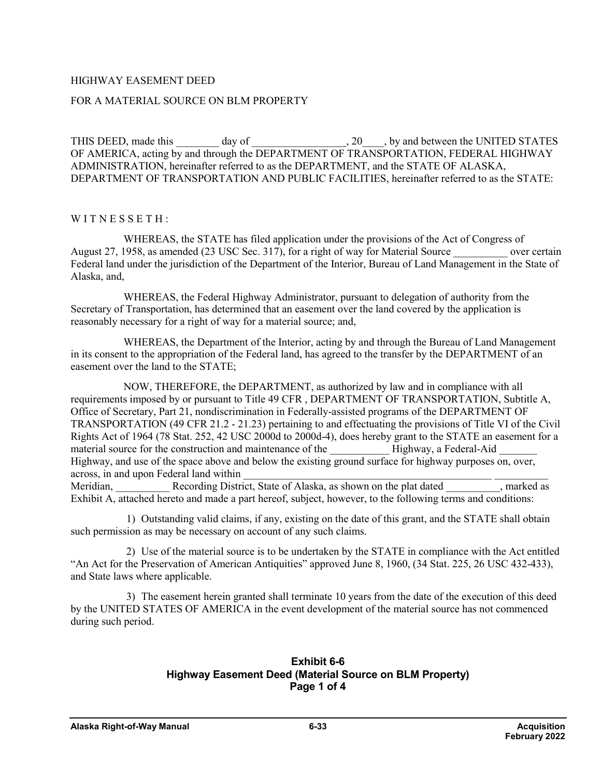#### HIGHWAY EASEMENT DEED

#### FOR A MATERIAL SOURCE ON BLM PROPERTY

THIS DEED, made this \_\_\_\_\_\_\_ day of \_\_\_\_\_\_\_\_\_\_\_\_\_\_\_\_\_\_\_\_, 20\_\_\_\_, by and between the UNITED STATES OF AMERICA, acting by and through the DEPARTMENT OF TRANSPORTATION, FEDERAL HIGHWAY ADMINISTRATION, hereinafter referred to as the DEPARTMENT, and the STATE OF ALASKA, DEPARTMENT OF TRANSPORTATION AND PUBLIC FACILITIES, hereinafter referred to as the STATE:

#### WITNESSETH:

WHEREAS, the STATE has filed application under the provisions of the Act of Congress of August 27, 1958, as amended (23 USC Sec. 317), for a right of way for Material Source over certain Federal land under the jurisdiction of the Department of the Interior, Bureau of Land Management in the State of Alaska, and,

WHEREAS, the Federal Highway Administrator, pursuant to delegation of authority from the Secretary of Transportation, has determined that an easement over the land covered by the application is reasonably necessary for a right of way for a material source; and,

WHEREAS, the Department of the Interior, acting by and through the Bureau of Land Management in its consent to the appropriation of the Federal land, has agreed to the transfer by the DEPARTMENT of an easement over the land to the STATE;

NOW, THEREFORE, the DEPARTMENT, as authorized by law and in compliance with all requirements imposed by or pursuant to Title 49 CFR , DEPARTMENT OF TRANSPORTATION, Subtitle A, Office of Secretary, Part 21, nondiscrimination in Federally-assisted programs of the DEPARTMENT OF TRANSPORTATION (49 CFR 21.2 - 21.23) pertaining to and effectuating the provisions of Title VI of the Civil Rights Act of 1964 (78 Stat. 252, 42 USC 2000d to 2000d-4), does hereby grant to the STATE an easement for a material source for the construction and maintenance of the **Highway**, a Federal-Aid Highway, and use of the space above and below the existing ground surface for highway purposes on, over, across, in and upon Federal land within

Meridian, Recording District, State of Alaska, as shown on the plat dated as narked as Exhibit A, attached hereto and made a part hereof, subject, however, to the following terms and conditions:

1) Outstanding valid claims, if any, existing on the date of this grant, and the STATE shall obtain such permission as may be necessary on account of any such claims.

2) Use of the material source is to be undertaken by the STATE in compliance with the Act entitled "An Act for the Preservation of American Antiquities" approved June 8, 1960, (34 Stat. 225, 26 USC 432-433), and State laws where applicable.

3) The easement herein granted shall terminate 10 years from the date of the execution of this deed by the UNITED STATES OF AMERICA in the event development of the material source has not commenced during such period.

#### **Exhibit 6-6 Highway Easement Deed (Material Source on BLM Property) Page 1 of 4**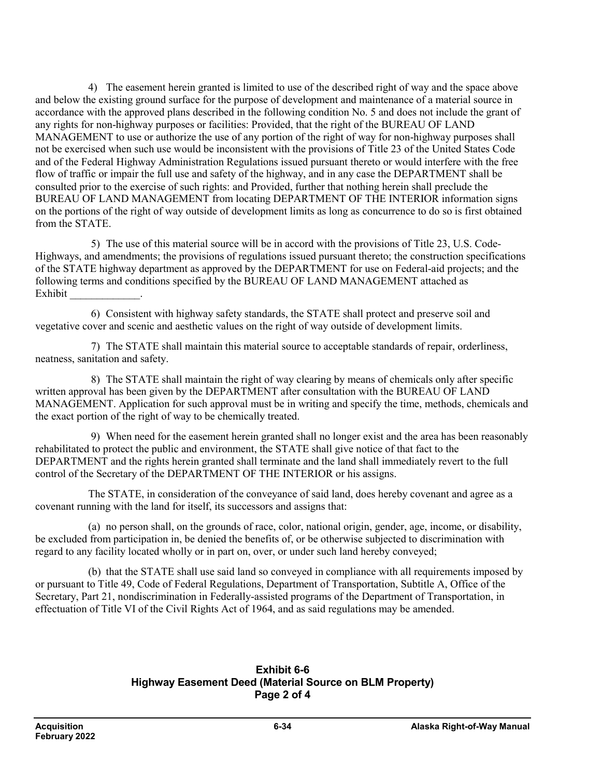4) The easement herein granted is limited to use of the described right of way and the space above and below the existing ground surface for the purpose of development and maintenance of a material source in accordance with the approved plans described in the following condition No. 5 and does not include the grant of any rights for non-highway purposes or facilities: Provided, that the right of the BUREAU OF LAND MANAGEMENT to use or authorize the use of any portion of the right of way for non-highway purposes shall not be exercised when such use would be inconsistent with the provisions of Title 23 of the United States Code and of the Federal Highway Administration Regulations issued pursuant thereto or would interfere with the free flow of traffic or impair the full use and safety of the highway, and in any case the DEPARTMENT shall be consulted prior to the exercise of such rights: and Provided, further that nothing herein shall preclude the BUREAU OF LAND MANAGEMENT from locating DEPARTMENT OF THE INTERIOR information signs on the portions of the right of way outside of development limits as long as concurrence to do so is first obtained from the STATE.

5) The use of this material source will be in accord with the provisions of Title 23, U.S. Code-Highways, and amendments; the provisions of regulations issued pursuant thereto; the construction specifications of the STATE highway department as approved by the DEPARTMENT for use on Federal-aid projects; and the following terms and conditions specified by the BUREAU OF LAND MANAGEMENT attached as Exhibit \_\_\_\_\_\_\_\_\_\_\_\_\_.

6) Consistent with highway safety standards, the STATE shall protect and preserve soil and vegetative cover and scenic and aesthetic values on the right of way outside of development limits.

7) The STATE shall maintain this material source to acceptable standards of repair, orderliness, neatness, sanitation and safety.

8) The STATE shall maintain the right of way clearing by means of chemicals only after specific written approval has been given by the DEPARTMENT after consultation with the BUREAU OF LAND MANAGEMENT. Application for such approval must be in writing and specify the time, methods, chemicals and the exact portion of the right of way to be chemically treated.

9) When need for the easement herein granted shall no longer exist and the area has been reasonably rehabilitated to protect the public and environment, the STATE shall give notice of that fact to the DEPARTMENT and the rights herein granted shall terminate and the land shall immediately revert to the full control of the Secretary of the DEPARTMENT OF THE INTERIOR or his assigns.

The STATE, in consideration of the conveyance of said land, does hereby covenant and agree as a covenant running with the land for itself, its successors and assigns that:

(a) no person shall, on the grounds of race, color, national origin, gender, age, income, or disability, be excluded from participation in, be denied the benefits of, or be otherwise subjected to discrimination with regard to any facility located wholly or in part on, over, or under such land hereby conveyed;

(b) that the STATE shall use said land so conveyed in compliance with all requirements imposed by or pursuant to Title 49, Code of Federal Regulations, Department of Transportation, Subtitle A, Office of the Secretary, Part 21, nondiscrimination in Federally-assisted programs of the Department of Transportation, in effectuation of Title VI of the Civil Rights Act of 1964, and as said regulations may be amended.

### **Exhibit 6-6 Highway Easement Deed (Material Source on BLM Property) Page 2 of 4**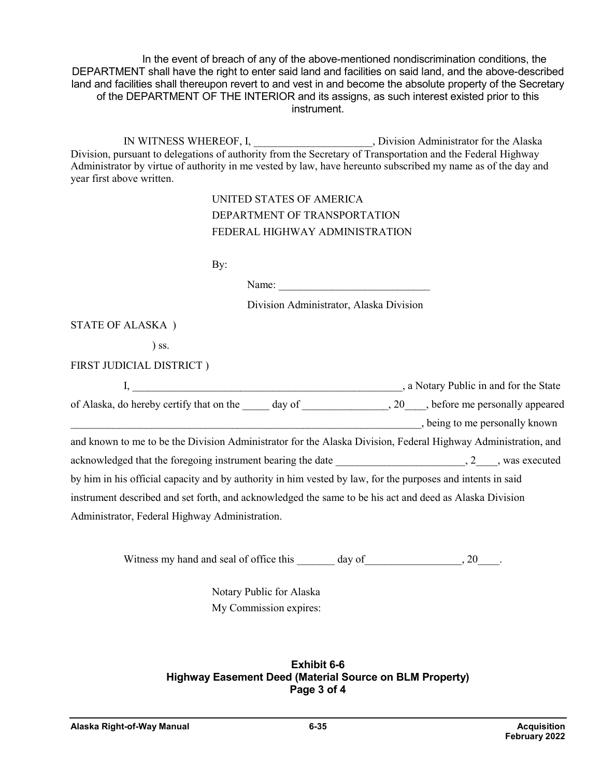In the event of breach of any of the above-mentioned nondiscrimination conditions, the DEPARTMENT shall have the right to enter said land and facilities on said land, and the above-described land and facilities shall thereupon revert to and vest in and become the absolute property of the Secretary of the DEPARTMENT OF THE INTERIOR and its assigns, as such interest existed prior to this instrument.

IN WITNESS WHEREOF, I,  $Division$  Administrator for the Alaska Division, pursuant to delegations of authority from the Secretary of Transportation and the Federal Highway Administrator by virtue of authority in me vested by law, have hereunto subscribed my name as of the day and year first above written.

## UNITED STATES OF AMERICA DEPARTMENT OF TRANSPORTATION FEDERAL HIGHWAY ADMINISTRATION

By:

Name:

Division Administrator, Alaska Division

STATE OF ALASKA )

) ss.

FIRST JUDICIAL DISTRICT )

|                                                                                                                                                                                                                                |  | , a Notary Public in and for the State |
|--------------------------------------------------------------------------------------------------------------------------------------------------------------------------------------------------------------------------------|--|----------------------------------------|
| of Alaska, do hereby certify that on the day of the day of the set of Alaska, do hereby certify that on the day of the set of Alaska, do hereby certify that on the day of the set of Alaska, and hereby certify that on the d |  |                                        |
|                                                                                                                                                                                                                                |  | , being to me personally known         |
| and known to me to be the Division Administrator for the Alaska Division, Federal Highway Administration, and                                                                                                                  |  |                                        |
| acknowledged that the foregoing instrument bearing the date $, 2, $ , was executed                                                                                                                                             |  |                                        |
| by him in his official capacity and by authority in him vested by law, for the purposes and intents in said                                                                                                                    |  |                                        |
| instrument described and set forth, and acknowledged the same to be his act and deed as Alaska Division                                                                                                                        |  |                                        |
| Administrator, Federal Highway Administration.                                                                                                                                                                                 |  |                                        |

Witness my hand and seal of office this day of the case of  $\alpha$ . 20 and 20

Notary Public for Alaska My Commission expires:

**Exhibit 6-6 Highway Easement Deed (Material Source on BLM Property) Page 3 of 4**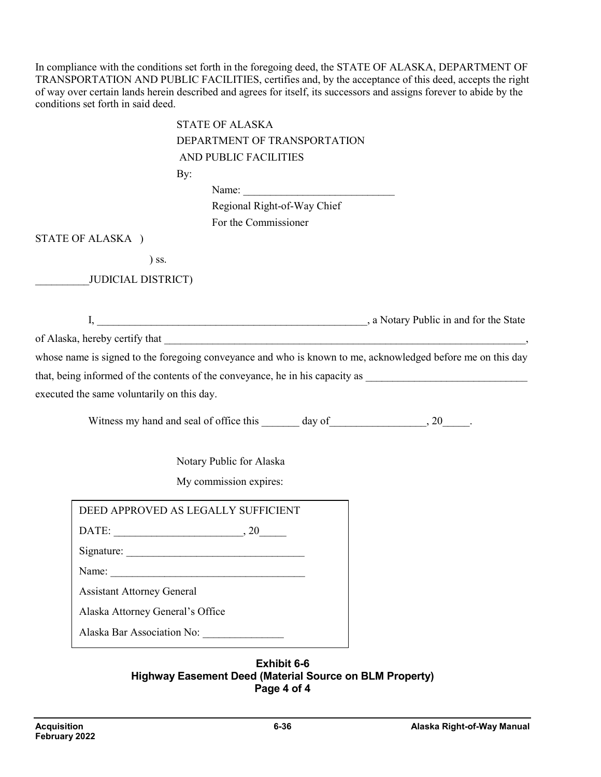In compliance with the conditions set forth in the foregoing deed, the STATE OF ALASKA, DEPARTMENT OF TRANSPORTATION AND PUBLIC FACILITIES, certifies and, by the acceptance of this deed, accepts the right of way over certain lands herein described and agrees for itself, its successors and assigns forever to abide by the conditions set forth in said deed.

| <b>STATE OF ALASKA</b>                                                                                      |  |
|-------------------------------------------------------------------------------------------------------------|--|
| DEPARTMENT OF TRANSPORTATION                                                                                |  |
| AND PUBLIC FACILITIES                                                                                       |  |
| By:                                                                                                         |  |
|                                                                                                             |  |
| Regional Right-of-Way Chief                                                                                 |  |
| For the Commissioner                                                                                        |  |
| STATE OF ALASKA )                                                                                           |  |
| $)$ ss.                                                                                                     |  |
| <b>JUDICIAL DISTRICT)</b>                                                                                   |  |
|                                                                                                             |  |
|                                                                                                             |  |
|                                                                                                             |  |
| whose name is signed to the foregoing conveyance and who is known to me, acknowledged before me on this day |  |
|                                                                                                             |  |
| executed the same voluntarily on this day.                                                                  |  |
|                                                                                                             |  |
|                                                                                                             |  |
|                                                                                                             |  |
| Notary Public for Alaska                                                                                    |  |
| My commission expires:                                                                                      |  |
|                                                                                                             |  |
| DEED APPROVED AS LEGALLY SUFFICIENT                                                                         |  |
|                                                                                                             |  |
| Signature:                                                                                                  |  |
| Name:                                                                                                       |  |
| <b>Assistant Attorney General</b>                                                                           |  |
| Alaska Attorney General's Office                                                                            |  |
| Alaska Bar Association No:                                                                                  |  |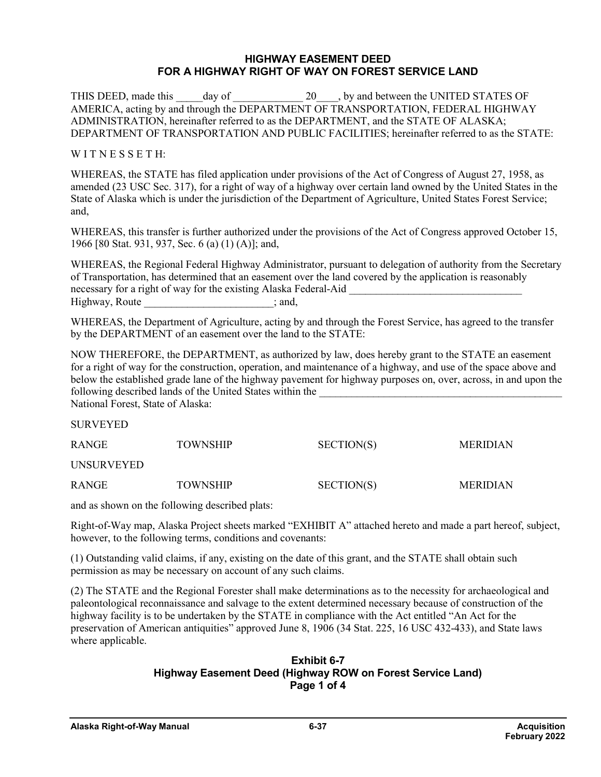#### **HIGHWAY EASEMENT DEED FOR A HIGHWAY RIGHT OF WAY ON FOREST SERVICE LAND**

THIS DEED, made this day of  $20 \rightarrow$  by and between the UNITED STATES OF AMERICA, acting by and through the DEPARTMENT OF TRANSPORTATION, FEDERAL HIGHWAY ADMINISTRATION, hereinafter referred to as the DEPARTMENT, and the STATE OF ALASKA; DEPARTMENT OF TRANSPORTATION AND PUBLIC FACILITIES; hereinafter referred to as the STATE:

#### $W I T N E S S E T H$ :

WHEREAS, the STATE has filed application under provisions of the Act of Congress of August 27, 1958, as amended (23 USC Sec. 317), for a right of way of a highway over certain land owned by the United States in the State of Alaska which is under the jurisdiction of the Department of Agriculture, United States Forest Service; and,

WHEREAS, this transfer is further authorized under the provisions of the Act of Congress approved October 15, 1966 [80 Stat. 931, 937, Sec. 6 (a) (1) (A)]; and,

WHEREAS, the Regional Federal Highway Administrator, pursuant to delegation of authority from the Secretary of Transportation, has determined that an easement over the land covered by the application is reasonably necessary for a right of way for the existing Alaska Federal-Aid Highway, Route  $\qquad \qquad ;$  and,

WHEREAS, the Department of Agriculture, acting by and through the Forest Service, has agreed to the transfer by the DEPARTMENT of an easement over the land to the STATE:

NOW THEREFORE, the DEPARTMENT, as authorized by law, does hereby grant to the STATE an easement for a right of way for the construction, operation, and maintenance of a highway, and use of the space above and below the established grade lane of the highway pavement for highway purposes on, over, across, in and upon the following described lands of the United States within the National Forest, State of Alaska:

SURVEYED

| <b>RANGE</b> | <b>TOWNSHIP</b> | SECTION(S) | <b>MERIDIAN</b> |
|--------------|-----------------|------------|-----------------|
| UNSURVEYED   |                 |            |                 |
| <b>RANGE</b> | <b>TOWNSHIP</b> | SECTION(S) | <b>MERIDIAN</b> |

and as shown on the following described plats:

Right-of-Way map, Alaska Project sheets marked "EXHIBIT A" attached hereto and made a part hereof, subject, however, to the following terms, conditions and covenants:

(1) Outstanding valid claims, if any, existing on the date of this grant, and the STATE shall obtain such permission as may be necessary on account of any such claims.

(2) The STATE and the Regional Forester shall make determinations as to the necessity for archaeological and paleontological reconnaissance and salvage to the extent determined necessary because of construction of the highway facility is to be undertaken by the STATE in compliance with the Act entitled "An Act for the preservation of American antiquities" approved June 8, 1906 (34 Stat. 225, 16 USC 432-433), and State laws where applicable.

#### **Exhibit 6-7 Highway Easement Deed (Highway ROW on Forest Service Land) Page 1 of 4**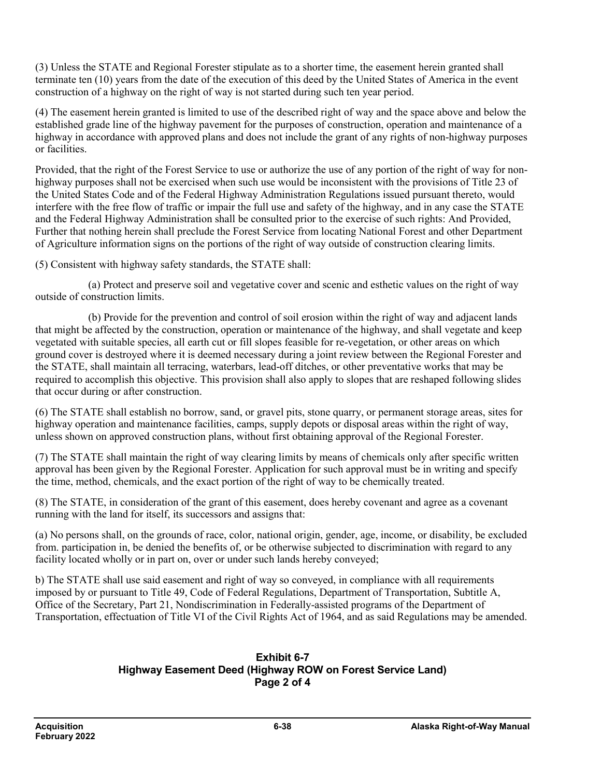(3) Unless the STATE and Regional Forester stipulate as to a shorter time, the easement herein granted shall terminate ten (10) years from the date of the execution of this deed by the United States of America in the event construction of a highway on the right of way is not started during such ten year period.

(4) The easement herein granted is limited to use of the described right of way and the space above and below the established grade line of the highway pavement for the purposes of construction, operation and maintenance of a highway in accordance with approved plans and does not include the grant of any rights of non-highway purposes or facilities.

Provided, that the right of the Forest Service to use or authorize the use of any portion of the right of way for nonhighway purposes shall not be exercised when such use would be inconsistent with the provisions of Title 23 of the United States Code and of the Federal Highway Administration Regulations issued pursuant thereto, would interfere with the free flow of traffic or impair the full use and safety of the highway, and in any case the STATE and the Federal Highway Administration shall be consulted prior to the exercise of such rights: And Provided, Further that nothing herein shall preclude the Forest Service from locating National Forest and other Department of Agriculture information signs on the portions of the right of way outside of construction clearing limits.

(5) Consistent with highway safety standards, the STATE shall:

(a) Protect and preserve soil and vegetative cover and scenic and esthetic values on the right of way outside of construction limits.

(b) Provide for the prevention and control of soil erosion within the right of way and adjacent lands that might be affected by the construction, operation or maintenance of the highway, and shall vegetate and keep vegetated with suitable species, all earth cut or fill slopes feasible for re-vegetation, or other areas on which ground cover is destroyed where it is deemed necessary during a joint review between the Regional Forester and the STATE, shall maintain all terracing, waterbars, lead-off ditches, or other preventative works that may be required to accomplish this objective. This provision shall also apply to slopes that are reshaped following slides that occur during or after construction.

(6) The STATE shall establish no borrow, sand, or gravel pits, stone quarry, or permanent storage areas, sites for highway operation and maintenance facilities, camps, supply depots or disposal areas within the right of way, unless shown on approved construction plans, without first obtaining approval of the Regional Forester.

(7) The STATE shall maintain the right of way clearing limits by means of chemicals only after specific written approval has been given by the Regional Forester. Application for such approval must be in writing and specify the time, method, chemicals, and the exact portion of the right of way to be chemically treated.

(8) The STATE, in consideration of the grant of this easement, does hereby covenant and agree as a covenant running with the land for itself, its successors and assigns that:

(a) No persons shall, on the grounds of race, color, national origin, gender, age, income, or disability, be excluded from. participation in, be denied the benefits of, or be otherwise subjected to discrimination with regard to any facility located wholly or in part on, over or under such lands hereby conveyed;

b) The STATE shall use said easement and right of way so conveyed, in compliance with all requirements imposed by or pursuant to Title 49, Code of Federal Regulations, Department of Transportation, Subtitle A, Office of the Secretary, Part 21, Nondiscrimination in Federally-assisted programs of the Department of Transportation, effectuation of Title VI of the Civil Rights Act of 1964, and as said Regulations may be amended.

#### **Exhibit 6-7 Highway Easement Deed (Highway ROW on Forest Service Land) Page 2 of 4**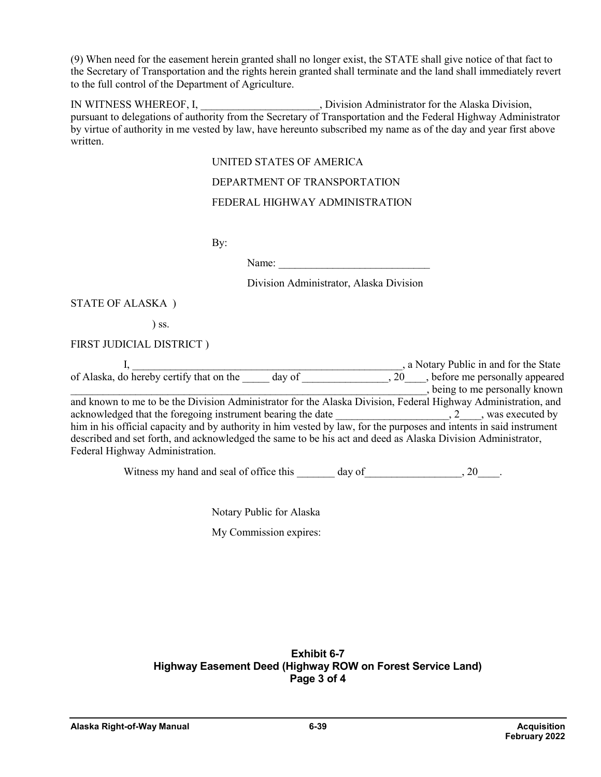(9) When need for the easement herein granted shall no longer exist, the STATE shall give notice of that fact to the Secretary of Transportation and the rights herein granted shall terminate and the land shall immediately revert to the full control of the Department of Agriculture.

IN WITNESS WHEREOF, I,  $\rule{1em}{0.15mm}$  Division Administrator for the Alaska Division, pursuant to delegations of authority from the Secretary of Transportation and the Federal Highway Administrator by virtue of authority in me vested by law, have hereunto subscribed my name as of the day and year first above written.

UNITED STATES OF AMERICA

DEPARTMENT OF TRANSPORTATION

#### FEDERAL HIGHWAY ADMINISTRATION

By:

Name:

Division Administrator, Alaska Division

STATE OF ALASKA )

) ss.

FIRST JUDICIAL DISTRICT )

|                                                                                                                     |     | , a Notary Public in and for the State |
|---------------------------------------------------------------------------------------------------------------------|-----|----------------------------------------|
| of Alaska, do hereby certify that on the<br>day of                                                                  | .20 | , before me personally appeared        |
|                                                                                                                     |     | being to me personally known           |
| and known to me to be the Division Administrator for the Alaska Division, Federal Highway Administration, and       |     |                                        |
| acknowledged that the foregoing instrument bearing the date                                                         |     | $, 2 \t , was executed by$             |
| him in his official capacity and by authority in him vested by law, for the purposes and intents in said instrument |     |                                        |
| described and set forth, and acknowledged the same to be his act and deed as Alaska Division Administrator,         |     |                                        |
| Federal Highway Administration.                                                                                     |     |                                        |
|                                                                                                                     |     |                                        |

Witness my hand and seal of office this day of the case of  $\alpha$ . 20 and 20

Notary Public for Alaska

My Commission expires:

### **Exhibit 6-7 Highway Easement Deed (Highway ROW on Forest Service Land) Page 3 of 4**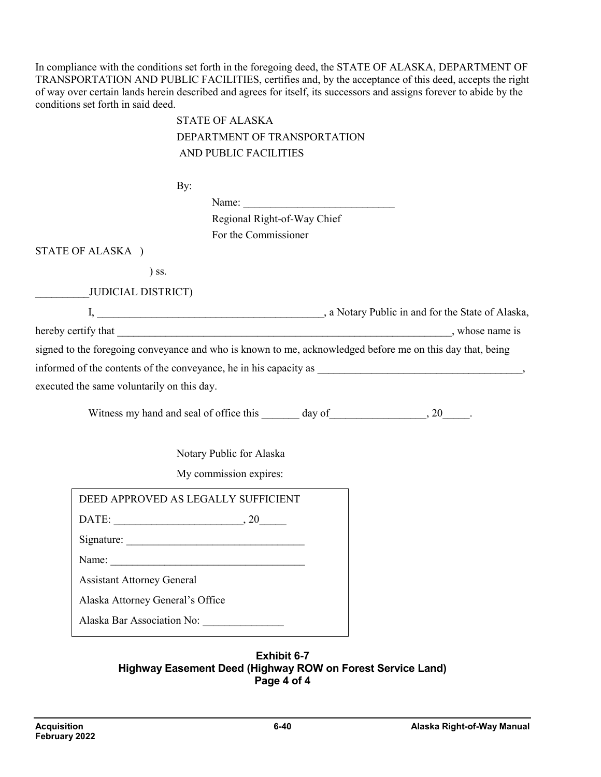In compliance with the conditions set forth in the foregoing deed, the STATE OF ALASKA, DEPARTMENT OF TRANSPORTATION AND PUBLIC FACILITIES, certifies and, by the acceptance of this deed, accepts the right of way over certain lands herein described and agrees for itself, its successors and assigns forever to abide by the conditions set forth in said deed.

|                                                                                                           | <b>STATE OF ALASKA</b>                    |  |  |
|-----------------------------------------------------------------------------------------------------------|-------------------------------------------|--|--|
|                                                                                                           | DEPARTMENT OF TRANSPORTATION              |  |  |
|                                                                                                           | AND PUBLIC FACILITIES                     |  |  |
|                                                                                                           | By:                                       |  |  |
|                                                                                                           | Name:                                     |  |  |
|                                                                                                           | Regional Right-of-Way Chief               |  |  |
|                                                                                                           | For the Commissioner                      |  |  |
| STATE OF ALASKA )                                                                                         |                                           |  |  |
| $)$ ss.                                                                                                   |                                           |  |  |
| <b>JUDICIAL DISTRICT)</b>                                                                                 |                                           |  |  |
|                                                                                                           |                                           |  |  |
|                                                                                                           |                                           |  |  |
| signed to the foregoing conveyance and who is known to me, acknowledged before me on this day that, being |                                           |  |  |
|                                                                                                           |                                           |  |  |
| executed the same voluntarily on this day.                                                                |                                           |  |  |
|                                                                                                           |                                           |  |  |
|                                                                                                           |                                           |  |  |
|                                                                                                           | Notary Public for Alaska                  |  |  |
|                                                                                                           |                                           |  |  |
|                                                                                                           | My commission expires:                    |  |  |
| DEED APPROVED AS LEGALLY SUFFICIENT                                                                       |                                           |  |  |
| DATE: $\qquad \qquad .20$                                                                                 |                                           |  |  |
|                                                                                                           |                                           |  |  |
| Name:                                                                                                     |                                           |  |  |
| <b>Assistant Attorney General</b>                                                                         |                                           |  |  |
| Alaska Attorney General's Office                                                                          |                                           |  |  |
|                                                                                                           | Alaska Bar Association No: ______________ |  |  |
|                                                                                                           |                                           |  |  |

#### **Exhibit 6-7 Highway Easement Deed (Highway ROW on Forest Service Land) Page 4 of 4**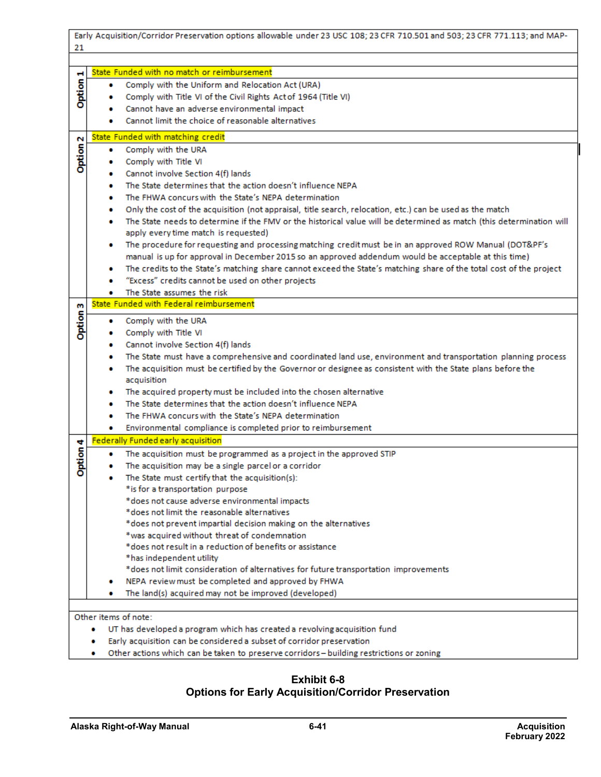|                                                                           | Early Acquisition/Corridor Preservation options allowable under 23 USC 108; 23 CFR 710.501 and 503; 23 CFR 771.113; and MAP-                                      |  |  |  |  |
|---------------------------------------------------------------------------|-------------------------------------------------------------------------------------------------------------------------------------------------------------------|--|--|--|--|
| 21                                                                        |                                                                                                                                                                   |  |  |  |  |
|                                                                           |                                                                                                                                                                   |  |  |  |  |
| ы                                                                         | State Funded with no match or reimbursement                                                                                                                       |  |  |  |  |
| Option                                                                    | Comply with the Uniform and Relocation Act (URA)<br>۰                                                                                                             |  |  |  |  |
|                                                                           | Comply with Title VI of the Civil Rights Act of 1964 (Title VI)                                                                                                   |  |  |  |  |
|                                                                           | Cannot have an adverse environmental impact                                                                                                                       |  |  |  |  |
|                                                                           | Cannot limit the choice of reasonable alternatives                                                                                                                |  |  |  |  |
| N                                                                         | State Funded with matching credit                                                                                                                                 |  |  |  |  |
|                                                                           | Comply with the URA<br>۰                                                                                                                                          |  |  |  |  |
| <b>Option</b>                                                             | Comply with Title VI                                                                                                                                              |  |  |  |  |
|                                                                           | Cannot involve Section 4(f) lands<br>۰                                                                                                                            |  |  |  |  |
|                                                                           | The State determines that the action doesn't influence NEPA<br>۰                                                                                                  |  |  |  |  |
|                                                                           | The FHWA concurs with the State's NEPA determination<br>۰                                                                                                         |  |  |  |  |
|                                                                           | Only the cost of the acquisition (not appraisal, title search, relocation, etc.) can be used as the match<br>۰                                                    |  |  |  |  |
|                                                                           | The State needs to determine if the FMV or the historical value will be determined as match (this determination will<br>۰                                         |  |  |  |  |
|                                                                           | apply every time match is requested)                                                                                                                              |  |  |  |  |
|                                                                           | The procedure for requesting and processing matching credit must be in an approved ROW Manual (DOT&PF's<br>۰                                                      |  |  |  |  |
|                                                                           | manual is up for approval in December 2015 so an approved addendum would be acceptable at this time)                                                              |  |  |  |  |
|                                                                           | The credits to the State's matching share cannot exceed the State's matching share of the total cost of the project<br>۰                                          |  |  |  |  |
|                                                                           | "Excess" credits cannot be used on other projects                                                                                                                 |  |  |  |  |
|                                                                           | The State assumes the risk<br>۰                                                                                                                                   |  |  |  |  |
| m                                                                         | State Funded with Federal reimbursement                                                                                                                           |  |  |  |  |
| <b>Option</b>                                                             | Comply with the URA<br>۰                                                                                                                                          |  |  |  |  |
|                                                                           | Comply with Title VI                                                                                                                                              |  |  |  |  |
|                                                                           | Cannot involve Section 4(f) lands<br>۰                                                                                                                            |  |  |  |  |
|                                                                           | The State must have a comprehensive and coordinated land use, environment and transportation planning process<br>۰                                                |  |  |  |  |
|                                                                           | The acquisition must be certified by the Governor or designee as consistent with the State plans before the<br>۰                                                  |  |  |  |  |
|                                                                           | acquisition                                                                                                                                                       |  |  |  |  |
|                                                                           | The acquired property must be included into the chosen alternative                                                                                                |  |  |  |  |
|                                                                           | The State determines that the action doesn't influence NEPA                                                                                                       |  |  |  |  |
|                                                                           | The FHWA concurs with the State's NEPA determination                                                                                                              |  |  |  |  |
|                                                                           | Environmental compliance is completed prior to reimbursement<br>۰                                                                                                 |  |  |  |  |
| ÷                                                                         | Federally Funded early acquisition                                                                                                                                |  |  |  |  |
| tion                                                                      | The acquisition must be programmed as a project in the approved STIP<br>. .                                                                                       |  |  |  |  |
| ŏ                                                                         | The acquisition may be a single parcel or a corridor                                                                                                              |  |  |  |  |
|                                                                           | The State must certify that the acquisition(s):                                                                                                                   |  |  |  |  |
|                                                                           | *is for a transportation purpose<br>*does not cause adverse environmental impacts                                                                                 |  |  |  |  |
|                                                                           | *does not limit the reasonable alternatives                                                                                                                       |  |  |  |  |
|                                                                           | *does not prevent impartial decision making on the alternatives                                                                                                   |  |  |  |  |
|                                                                           | *was acquired without threat of condemnation                                                                                                                      |  |  |  |  |
|                                                                           | *does not result in a reduction of benefits or assistance                                                                                                         |  |  |  |  |
|                                                                           | *has independent utility                                                                                                                                          |  |  |  |  |
|                                                                           | *does not limit consideration of alternatives for future transportation improvements                                                                              |  |  |  |  |
|                                                                           | NEPA review must be completed and approved by FHWA                                                                                                                |  |  |  |  |
|                                                                           | The land(s) acquired may not be improved (developed)                                                                                                              |  |  |  |  |
|                                                                           |                                                                                                                                                                   |  |  |  |  |
| Other items of note:                                                      |                                                                                                                                                                   |  |  |  |  |
| UT has developed a program which has created a revolving acquisition fund |                                                                                                                                                                   |  |  |  |  |
|                                                                           | Early acquisition can be considered a subset of corridor preservation<br>Other actions which can be taken to preserve corridors – building restrictions or zoning |  |  |  |  |

• Other actions which can be taken to preserve corridors - building restrictions or zoning

### **Exhibit 6-8 Options for Early Acquisition/Corridor Preservation**